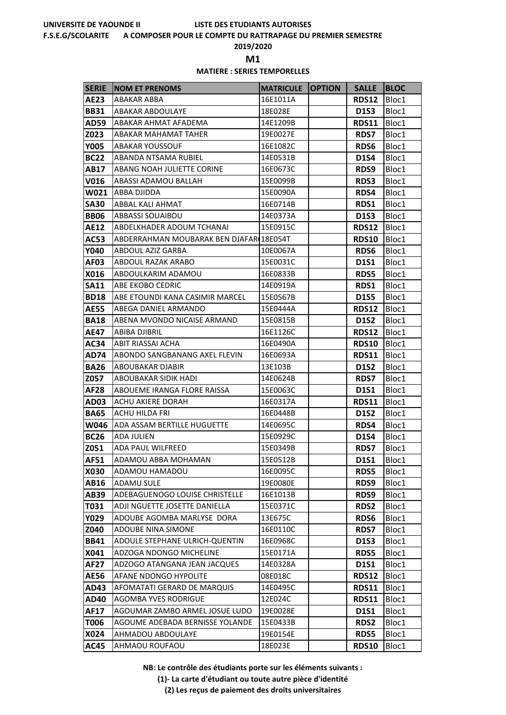#### **F.S.E.G/SCOLARITE A COMPOSER POUR LE COMPTE DU RATTRAPAGE DU PREMIER SEMESTRE**

**2019/2020**

**M1** 

### **MATIERE : SERIES TEMPORELLES**

| <b>SERIE</b>        | <b>INOM ET PRENOMS</b>                           | <b>MATRICULE OPTION</b> | <b>SALLE</b>        | <b>BLOC</b>    |
|---------------------|--------------------------------------------------|-------------------------|---------------------|----------------|
| <b>AE23</b>         | ABAKAR ABBA                                      | 16E1011A                | RDS12               | Bloc1          |
| <b>BB31</b>         | <b>ABAKAR ABDOULAYE</b>                          | 18E028E                 | <b>D1S3</b>         | Bloc1          |
| AD59                | ABAKAR AHMAT AFADEMA                             | 14E1209B                | RDS11               | Bloc1          |
| Z023                | ABAKAR MAHAMAT TAHER                             | 19E0027E                | <b>RDS7</b>         | Bloc1          |
| <b>Y005</b>         | <b>ABAKAR YOUSSOUF</b>                           | 16E1082C                | <b>RDS6</b>         | Bloc1          |
| <b>BC22</b>         | ABANDA NTSAMA RUBIEL                             | 14E0531B                | <b>D1S4</b>         | Bloc1          |
| AB17                | ABANG NOAH JULIETTE CORINE                       | 16E0673C                | RDS9                | Bloc1          |
| V016                | ABASSI ADAMOU BALLAH                             | 15E0099B                | <b>RDS3</b>         | Bloc1          |
| W021                | <b>ABBA DJIDDA</b>                               | 15E0090A                | RDS4                | Bloc1          |
| <b>SA30</b>         | ABBAL KALI AHMAT                                 | 16E0714B                | RDS1                | Bloc1          |
| <b>BB06</b>         | <b>ABBASSI SOUAIBOU</b>                          | 14E0373A                | <b>D1S3</b>         | Bloc1          |
| <b>AE12</b>         | ABDELKHADER ADOUM TCHANAI                        | 15E0915C                | RDS12               | Bloc1          |
| AC53                | ABDERRAHMAN MOUBARAK BEN DJAFAR 18E054T          |                         | <b>RDS10</b>        | Bloc1          |
| <b>Y040</b>         | ABDOUL AZIZ GARBA                                | 10E0067A                | <b>RDS6</b>         | Bloc1          |
| AF03                | ABDOUL RAZAK ARABO                               | 15E0031C                | <b>D1S1</b>         | Bloc1          |
| X016                | ABDOULKARIM ADAMOU                               | 16E0833B                | <b>RDS5</b>         | Bloc1          |
| <b>SA11</b>         | ABE EKOBO CEDRIC                                 | 14E0919A                | RDS1                | Bloc1          |
| <b>BD18</b>         | ABE ETOUNDI KANA CASIMIR MARCEL                  | 15E0567B                | <b>D1S5</b>         | Bloc1          |
| <b>AE55</b>         | ABEGA DANIEL ARMANDO                             | 15E0444A                | <b>RDS12</b>        | Bloc1          |
| <b>BA18</b>         | ABENA MVONDO NICAISE ARMAND                      | 15E0815B                | <b>D1S2</b>         | Bloc1          |
| AE47                | ABIBA DJIBRIL                                    | 16E1126C                | RDS12               | Bloc1          |
| AC34                | ABIT RIASSAI ACHA                                | 16E0490A                | <b>RDS10</b>        | Bloc1          |
| <b>AD74</b>         | ABONDO SANGBANANG AXEL FLEVIN                    | 16E0693A                | RDS11               | Bloc1          |
| <b>BA26</b>         | ABOUBAKAR DJABIR                                 | 13E103B                 | <b>D1S2</b>         | Bloc1          |
| Z057                | ABOUBAKAR SIDIK HADI                             | 14E0624B                | <b>RDS7</b>         | Bloc1          |
| <b>AF28</b>         | ABOUEME IRANGA FLORE RAISSA<br>ACHU AKIERE DORAH | 15E0063C<br>16E0317A    | <b>D1S1</b>         | Bloc1          |
| AD03                | ACHU HILDA FRI                                   | 16E0448B                | <b>RDS11</b>        | Bloc1<br>Bloc1 |
| <b>BA65</b><br>W046 | ADA ASSAM BERTILLE HUGUETTE                      | 14E0695C                | <b>D1S2</b><br>RDS4 | Bloc1          |
| <b>BC26</b>         | <b>ADA JULIEN</b>                                | 15E0929C                | <b>D1S4</b>         | Bloc1          |
| Z051                | ADA PAUL WILFREED                                | 15E0349B                | <b>RDS7</b>         | Bloc1          |
| <b>AF51</b>         | ADAMOU ABBA MOHAMAN                              | 15E0512B                | <b>D1S1</b>         | Bloc1          |
| <b>X030</b>         | ADAMOU HAMADOU                                   | 16E0095C                | <b>RDS5</b>         | Bloc1          |
| AB16                | <b>ADAMU SULE</b>                                | 19E0080E                | RDS9                | Bloc1          |
| AB39                | ADEBAGUENOGO LOUISE CHRISTELLE                   | 16E1013B                | RDS9                | Bloc1          |
| T031                | ADJI NGUETTE JOSETTE DANIELLA                    | 15E0371C                | <b>RDS2</b>         | Bloc1          |
| Y029                | ADOUBE AGOMBA MARLYSE DORA                       | 13E675C                 | <b>RDS6</b>         | Bloc1          |
| Z040                | <b>ADOUBE NINA SIMONE</b>                        | 16E0110C                | <b>RDS7</b>         | Bloc1          |
| <b>BB41</b>         | <b>ADOULE STEPHANE ULRICH-QUENTIN</b>            | 16E0968C                | D1S3                | Bloc1          |
| X041                | ADZOGA NDONGO MICHELINE                          | 15E0171A                | <b>RDS5</b>         | Bloc1          |
| <b>AF27</b>         | ADZOGO ATANGANA JEAN JACQUES                     | 14E0328A                | D1S1                | Bloc1          |
| <b>AE56</b>         | AFANE NDONGO HYPOLITE                            | 08E018C                 | <b>RDS12</b>        | Bloc1          |
| AD43                | AFOMATATI GERARD DE MARQUIS                      | 14E0495C                | <b>RDS11</b>        | Bloc1          |
| AD40                | <b>AGOMBA YVES RODRIGUE</b>                      | 12E024C                 | <b>RDS11</b>        | Bloc1          |
| AF17                | AGOUMAR ZAMBO ARMEL JOSUE LUDO                   | 19E0028E                | <b>D1S1</b>         | Bloc1          |
| T006                | AGOUME ADEBADA BERNISSE YOLANDE                  | 15E0433B                | <b>RDS2</b>         | Bloc1          |
| X024                | AHMADOU ABDOULAYE                                | 19E0154E                | <b>RDS5</b>         | Bloc1          |
| <b>AC45</b>         | AHMAOU ROUFAOU                                   | 18E023E                 | <b>RDS10</b>        | Bloc1          |

**NB: Le contrôle des étudiants porte sur les éléments suivants :**

**(1)- La carte d'étudiant ou toute autre pièce d'identité**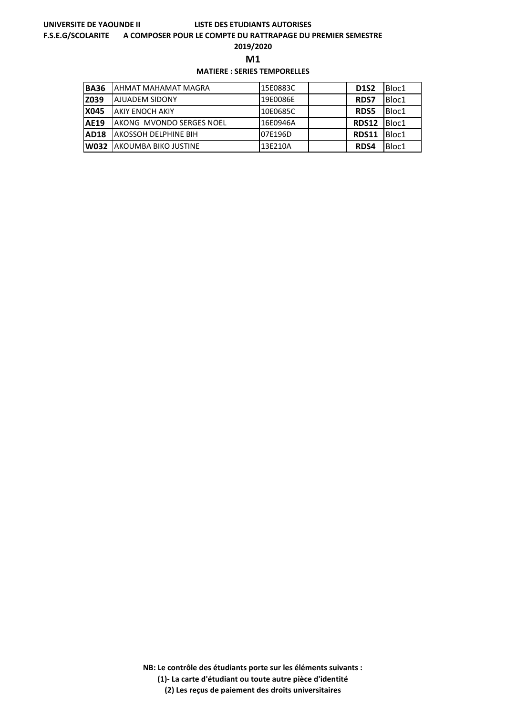#### **F.S.E.G/SCOLARITE A COMPOSER POUR LE COMPTE DU RATTRAPAGE DU PREMIER SEMESTRE**

**2019/2020**

**M1** 

## **MATIERE : SERIES TEMPORELLES**

| <b>BA36</b> | <b>JAHMAT MAHAMAT MAGRA</b>      | 15E0883C | <b>D1S2</b>  | Bloc1 |
|-------------|----------------------------------|----------|--------------|-------|
| Z039        | <b>AJUADEM SIDONY</b>            | 19E0086E | <b>RDS7</b>  | Bloc1 |
| <b>X045</b> | <b>JAKIY ENOCH AKIY</b>          | 10E0685C | <b>RDS5</b>  | Bloc1 |
| <b>AE19</b> | <b>IAKONG MVONDO SERGES NOEL</b> | 16E0946A | <b>RDS12</b> | Bloc1 |
| AD18        | <b>IAKOSSOH DELPHINE BIH</b>     | 07E196D  | <b>RDS11</b> | Bloc1 |
| W032        | <b>JAKOUMBA BIKO JUSTINE</b>     | 13E210A  | RDS4         | Bloc1 |

**NB: Le contrôle des étudiants porte sur les éléments suivants :**

**(1)- La carte d'étudiant ou toute autre pièce d'identité**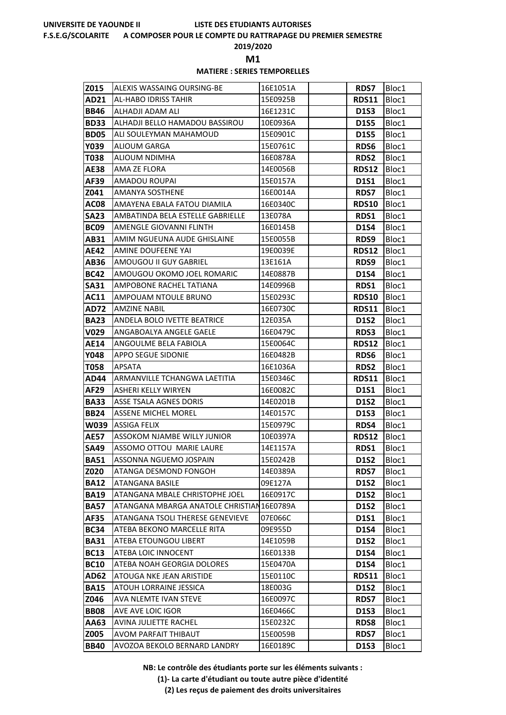#### **F.S.E.G/SCOLARITE A COMPOSER POUR LE COMPTE DU RATTRAPAGE DU PREMIER SEMESTRE**

**2019/2020**

**M1** 

## **MATIERE : SERIES TEMPORELLES**

| Z015             | ALEXIS WASSAING OURSING-BE                         | 16E1051A             | <b>RDS7</b>                | Bloc1          |
|------------------|----------------------------------------------------|----------------------|----------------------------|----------------|
| AD21             | <b>AL-HABO IDRISS TAHIR</b>                        | 15E0925B             | <b>RDS11</b>               | Bloc1          |
| <b>BB46</b>      | ALHADJI ADAM ALI                                   | 16E1231C             | <b>D1S3</b>                | Bloc1          |
| <b>BD33</b>      | ALHADJI BELLO HAMADOU BASSIROU                     | 10E0936A             | <b>D1S5</b>                | Bloc1          |
| <b>BD05</b>      | ALI SOULEYMAN MAHAMOUD                             | 15E0901C             | <b>D1S5</b>                | Bloc1          |
| Y039             | <b>ALIOUM GARGA</b>                                | 15E0761C             | <b>RDS6</b>                | Bloc1          |
| T038             | ALIOUM NDIMHA                                      | 16E0878A             | <b>RDS2</b>                | Bloc1          |
| <b>AE38</b>      | AMA ZE FLORA                                       | 14E0056B             | <b>RDS12</b>               | Bloc1          |
| AF39             | <b>AMADOU ROUPAI</b>                               | 15E0157A             | <b>D1S1</b>                | Bloc1          |
| Z041             | <b>AMANYA SOSTHENE</b>                             | 16E0014A             | <b>RDS7</b>                | Bloc1          |
| AC08             | AMAYENA EBALA FATOU DIAMILA                        | 16E0340C             | <b>RDS10</b>               | Bloc1          |
| <b>SA23</b>      | AMBATINDA BELA ESTELLE GABRIELLE                   | 13E078A              | RDS1                       | Bloc1          |
| BC <sub>09</sub> | AMENGLE GIOVANNI FLINTH                            | 16E0145B             | <b>D1S4</b>                | Bloc1          |
| AB31             | AMIM NGUEUNA AUDE GHISLAINE                        | 15E0055B             | RDS9                       | Bloc1          |
| AE42             | AMINE DOUFEENE YAI                                 | 19E0039E             | RDS12                      | Bloc1          |
| AB36             | AMOUGOU II GUY GABRIEL                             | 13E161A              | RDS9                       | Bloc1          |
| <b>BC42</b>      | AMOUGOU OKOMO JOEL ROMARIC                         | 14E0887B             | <b>D1S4</b>                | Bloc1          |
| <b>SA31</b>      | AMPOBONE RACHEL TATIANA                            | 14E0996B             | RDS1                       | Bloc1          |
| AC11             | AMPOUAM NTOULE BRUNO                               | 15E0293C             | <b>RDS10</b>               | Bloc1          |
| <b>AD72</b>      | <b>AMZINE NABIL</b>                                | 16E0730C             | <b>RDS11</b>               | Bloc1          |
| <b>BA23</b>      | ANDELA BOLO IVETTE BEATRICE                        | 12E035A              | <b>D1S2</b>                | Bloc1          |
| V029             | ANGABOALYA ANGELE GAELE                            | 16E0479C             | <b>RDS3</b>                | Bloc1          |
| AE14             | ANGOULME BELA FABIOLA<br><b>APPO SEGUE SIDONIE</b> | 15E0064C<br>16E0482B | <b>RDS12</b>               | Bloc1          |
| Y048<br>T058     | APSATA                                             | 16E1036A             | <b>RDS6</b><br><b>RDS2</b> | Bloc1<br>Bloc1 |
| AD44             | ARMANVILLE TCHANGWA LAETITIA                       | 15E0346C             | <b>RDS11</b>               | Bloc1          |
| AF29             | ASHERI KELLY WIRYEN                                | 16E0082C             | <b>D1S1</b>                | Bloc1          |
| <b>BA33</b>      | ASSE TSALA AGNES DORIS                             | 14E0201B             | <b>D1S2</b>                | Bloc1          |
| <b>BB24</b>      | <b>ASSENE MICHEL MOREL</b>                         | 14E0157C             | <b>D1S3</b>                | Bloc1          |
| W039             | <b>ASSIGA FELIX</b>                                | 15E0979C             | RDS4                       | Bloc1          |
| <b>AE57</b>      | <b>ASSOKOM NJAMBE WILLY JUNIOR</b>                 | 10E0397A             | <b>RDS12</b>               | Bloc1          |
| <b>SA49</b>      | ASSOMO OTTOU MARIE LAURE                           | 14E1157A             | RDS1                       | Bloc1          |
| <b>BA51</b>      | ASSONNA NGUEMO JOSPAIN                             | 15E0242B             | <b>D1S2</b>                | Bloc1          |
| Z020             | ATANGA DESMOND FONGOH                              | 14E0389A             | <b>RDS7</b>                | Bloc1          |
| <b>BA12</b>      | ATANGANA BASILE                                    | 09E127A              | D1S2                       | Bloc1          |
| <b>BA19</b>      | ATANGANA MBALE CHRISTOPHE JOEL                     | 16E0917C             | <b>D1S2</b>                | Bloc1          |
| <b>BA57</b>      | ATANGANA MBARGA ANATOLE CHRISTIAN16E0789A          |                      | D1S2                       | Bloc1          |
| <b>AF35</b>      | ATANGANA TSOLI THERESE GENEVIEVE                   | 07E066C              | <b>D1S1</b>                | Bloc1          |
| <b>BC34</b>      | ATEBA BEKONO MARCELLE RITA                         | 09E955D              | <b>D1S4</b>                | Bloc1          |
| <b>BA31</b>      | ATEBA ETOUNGOU LIBERT                              | 14E1059B             | <b>D1S2</b>                | Bloc1          |
| <b>BC13</b>      | ATEBA LOIC INNOCENT                                | 16E0133B             | <b>D1S4</b>                | Bloc1          |
| <b>BC10</b>      | ATEBA NOAH GEORGIA DOLORES                         | 15E0470A             | <b>D1S4</b>                | Bloc1          |
| <b>AD62</b>      | ATOUGA NKE JEAN ARISTIDE                           | 15E0110C             | RDS11                      | Bloc1          |
| <b>BA15</b>      | ATOUH LORRAINE JESSICA                             | 18E003G              | <b>D1S2</b>                | Bloc1          |
| Z046             | AVA NLEMTE IVAN STEVE                              | 16E0097C             | <b>RDS7</b>                | Bloc1          |
| <b>BB08</b>      | AVE AVE LOIC IGOR                                  | 16E0466C             | <b>D1S3</b>                | Bloc1          |
| AA63             | AVINA JULIETTE RACHEL                              | 15E0232C             | <b>RDS8</b>                | Bloc1          |
| Z005             | AVOM PARFAIT THIBAUT                               | 15E0059B             | <b>RDS7</b>                | Bloc1          |
| <b>BB40</b>      | AVOZOA BEKOLO BERNARD LANDRY                       | 16E0189C             | <b>D1S3</b>                | Bloc1          |

**NB: Le contrôle des étudiants porte sur les éléments suivants :**

**(1)- La carte d'étudiant ou toute autre pièce d'identité**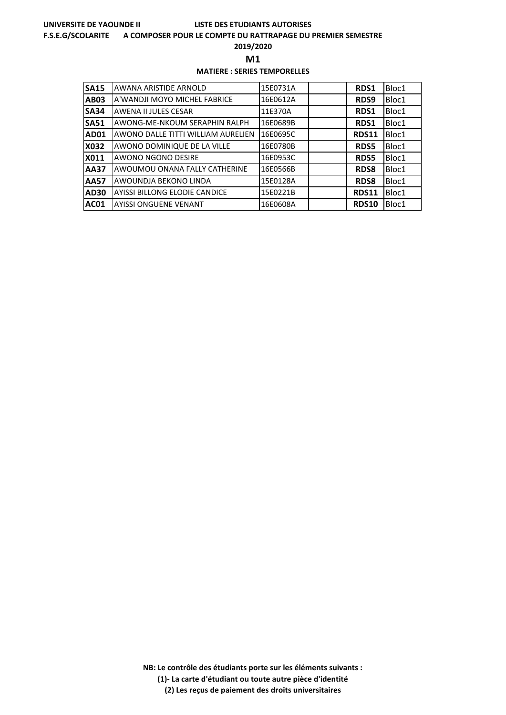#### **F.S.E.G/SCOLARITE A COMPOSER POUR LE COMPTE DU RATTRAPAGE DU PREMIER SEMESTRE**

**2019/2020**

**M1** 

## **MATIERE : SERIES TEMPORELLES**

| <b>SA15</b> | AWANA ARISTIDE ARNOLD              | 15E0731A | RDS1         | Bloc1 |
|-------------|------------------------------------|----------|--------------|-------|
| <b>AB03</b> | A'WANDJI MOYO MICHEL FABRICE       | 16E0612A | RDS9         | Bloc1 |
| <b>SA34</b> | AWENA II JULES CESAR               | 11E370A  | RDS1         | Bloc1 |
| <b>SA51</b> | AWONG-ME-NKOUM SERAPHIN RALPH      | 16E0689B | RDS1         | Bloc1 |
| <b>AD01</b> | AWONO DALLE TITTI WILLIAM AURELIEN | 16E0695C | <b>RDS11</b> | Bloc1 |
| X032        | AWONO DOMINIQUE DE LA VILLE        | 16E0780B | <b>RDS5</b>  | Bloc1 |
| X011        | AWONO NGONO DESIRE                 | 16E0953C | <b>RDS5</b>  | Bloc1 |
| <b>AA37</b> | AWOUMOU ONANA FALLY CATHERINE      | 16E0566B | <b>RDS8</b>  | Bloc1 |
| <b>AA57</b> | AWOUNDJA BEKONO LINDA              | 15E0128A | <b>RDS8</b>  | Bloc1 |
| <b>AD30</b> | AYISSI BILLONG ELODIE CANDICE      | 15E0221B | <b>RDS11</b> | Bloc1 |
| <b>AC01</b> | <b>AYISSI ONGUENE VENANT</b>       | 16E0608A | <b>RDS10</b> | Bloc1 |

**NB: Le contrôle des étudiants porte sur les éléments suivants : (1)- La carte d'étudiant ou toute autre pièce d'identité**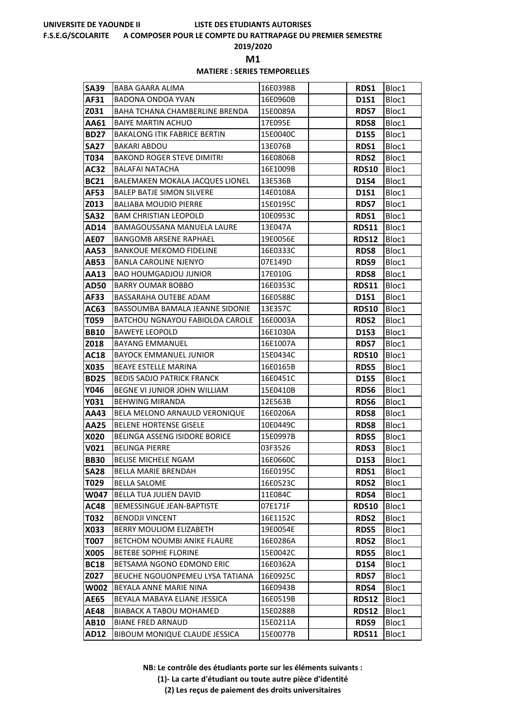#### **F.S.E.G/SCOLARITE A COMPOSER POUR LE COMPTE DU RATTRAPAGE DU PREMIER SEMESTRE**

**2019/2020**

**M1** 

### **MATIERE : SERIES TEMPORELLES**

| <b>SA39</b> | BABA GAARA ALIMA                       | 16E0398B | <b>RDS1</b>  | Bloc1 |
|-------------|----------------------------------------|----------|--------------|-------|
| AF31        | BADONA ONDOA YVAN                      | 16E0960B | <b>D1S1</b>  | Bloc1 |
| Z031        | BAHA TCHANA CHAMBERLINE BRENDA         | 15E0089A | <b>RDS7</b>  | Bloc1 |
| AA61        | <b>BAIYE MARTIN ACHUO</b>              | 17E095E  | <b>RDS8</b>  | Bloc1 |
| <b>BD27</b> | <b>BAKALONG ITIK FABRICE BERTIN</b>    | 15E0040C | <b>D1S5</b>  | Bloc1 |
| <b>SA27</b> | <b>BAKARI ABDOU</b>                    | 13E076B  | <b>RDS1</b>  | Bloc1 |
| T034        | <b>BAKOND ROGER STEVE DIMITRI</b>      | 16E0806B | <b>RDS2</b>  | Bloc1 |
| <b>AC32</b> | <b>BALAFAI NATACHA</b>                 | 16E1009B | <b>RDS10</b> | Bloc1 |
| <b>BC21</b> | BALEMAKEN MOKALA JACQUES LIONEL        | 13E536B  | <b>D1S4</b>  | Bloc1 |
| <b>AF53</b> | <b>BALEP BATJE SIMON SILVERE</b>       | 14E0108A | <b>D1S1</b>  | Bloc1 |
| Z013        | <b>BALIABA MOUDIO PIERRE</b>           | 15E0195C | <b>RDS7</b>  | Bloc1 |
| <b>SA32</b> | <b>BAM CHRISTIAN LEOPOLD</b>           | 10E0953C | <b>RDS1</b>  | Bloc1 |
| <b>AD14</b> | BAMAGOUSSANA MANUELA LAURE             | 13E047A  | <b>RDS11</b> | Bloc1 |
| <b>AE07</b> | BANGOMB ARSENE RAPHAEL                 | 19E0056E | RDS12        | Bloc1 |
| AA53        | <b>BANKOUE MEKOMO FIDELINE</b>         | 16E0333C | <b>RDS8</b>  | Bloc1 |
| <b>AB53</b> | <b>BANLA CAROLINE NJENYO</b>           | 07E149D  | RDS9         | Bloc1 |
| AA13        | <b>BAO HOUMGADJOU JUNIOR</b>           | 17E010G  | <b>RDS8</b>  | Bloc1 |
| <b>AD50</b> | <b>BARRY OUMAR BOBBO</b>               | 16E0353C | <b>RDS11</b> | Bloc1 |
| AF33        | BASSARAHA OUTEBE ADAM                  | 16E0588C | <b>D1S1</b>  | Bloc1 |
| AC63        | BASSOUMBA BAMALA JEANNE SIDONIE        | 13E357C  | <b>RDS10</b> | Bloc1 |
| T059        | BATCHOU NGNAYOU FABIOLOA CAROLE        | 16E0003A | <b>RDS2</b>  | Bloc1 |
| <b>BB10</b> | <b>BAWEYE LEOPOLD</b>                  | 16E1030A | <b>D1S3</b>  | Bloc1 |
| Z018        | <b>BAYANG EMMANUEL</b>                 | 16E1007A | <b>RDS7</b>  | Bloc1 |
| <b>AC18</b> | <b>BAYOCK EMMANUEL JUNIOR</b>          | 15E0434C | <b>RDS10</b> | Bloc1 |
| X035        | <b>BEAYE ESTELLE MARINA</b>            | 16E0165B | <b>RDS5</b>  | Bloc1 |
| <b>BD25</b> | <b>BEDIS SADJO PATRICK FRANCK</b>      | 16E0451C | <b>D1S5</b>  | Bloc1 |
| Y046        | BEGNE VI JUNIOR JOHN WILLIAM           | 15E0410B | <b>RDS6</b>  | Bloc1 |
| Y031        | <b>BEHWING MIRANDA</b>                 | 12E563B  | <b>RDS6</b>  | Bloc1 |
| AA43        | BELA MELONO ARNAULD VERONIQUE          | 16E0206A | <b>RDS8</b>  | Bloc1 |
| <b>AA25</b> | <b>BELENE HORTENSE GISELE</b>          | 10E0449C | <b>RDS8</b>  | Bloc1 |
| X020        | BELINGA ASSENG ISIDORE BORICE          | 15E0997B | <b>RDS5</b>  | Bloc1 |
| V021        | <b>BELINGA PIERRE</b>                  | 03F3526  | RDS3         | Bloc1 |
| <b>BB30</b> | <b>BELISE MICHELE NGAM</b>             | 16E0660C | D1S3         | Bloc1 |
| <b>SA28</b> | <b>BELLA MARIE BRENDAH</b>             | 16E0195C | RDS1         | Bloc1 |
| T029        | <b>BELLA SALOME</b>                    | 16E0523C | <b>RDS2</b>  | Bloc1 |
| W047        | BELLA TUA JULIEN DAVID                 | 11E084C  | RDS4         | Bloc1 |
| <b>AC48</b> | <b>BEMESSINGUE JEAN-BAPTISTE</b>       | 07E171F  | <b>RDS10</b> | Bloc1 |
| T032        | <b>BENODJI VINCENT</b>                 | 16E1152C | <b>RDS2</b>  | Bloc1 |
| X033        | <b>BERRY MOULIOM ELIZABETH</b>         | 19E0054E | <b>RDS5</b>  | Bloc1 |
| T007        | <b>BETCHOM NOUMBI ANIKE FLAURE</b>     | 16E0286A | <b>RDS2</b>  | Bloc1 |
| X005        | <b>BETEBE SOPHIE FLORINE</b>           | 15E0042C | <b>RDS5</b>  | Bloc1 |
| <b>BC18</b> | BETSAMA NGONO EDMOND ERIC              | 16E0362A | <b>D1S4</b>  | Bloc1 |
| Z027        | <b>BEUCHE NGOUONPEMEU LYSA TATIANA</b> | 16E0925C | <b>RDS7</b>  | Bloc1 |
| W002        | BEYALA ANNE MARIE NINA                 | 16E0943B | RDS4         | Bloc1 |
| <b>AE65</b> | BEYALA MABAYA ELIANE JESSICA           | 16E0519B | <b>RDS12</b> | Bloc1 |
| <b>AE48</b> | <b>BIABACK A TABOU MOHAMED</b>         | 15E0288B | <b>RDS12</b> | Bloc1 |
| <b>AB10</b> | <b>BIANE FRED ARNAUD</b>               | 15E0211A | RDS9         | Bloc1 |
| <b>AD12</b> | BIBOUM MONIQUE CLAUDE JESSICA          | 15E0077B | <b>RDS11</b> | Bloc1 |

**NB: Le contrôle des étudiants porte sur les éléments suivants :**

**(1)- La carte d'étudiant ou toute autre pièce d'identité**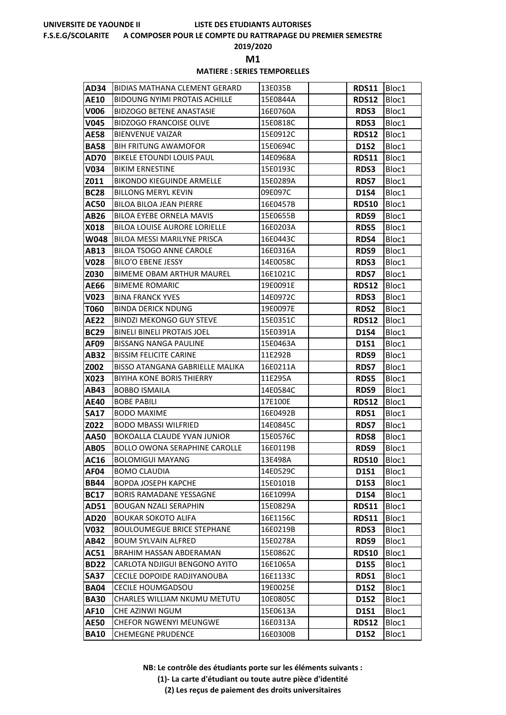#### **F.S.E.G/SCOLARITE A COMPOSER POUR LE COMPTE DU RATTRAPAGE DU PREMIER SEMESTRE**

**2019/2020**

**M1** 

## **MATIERE : SERIES TEMPORELLES**

| <b>AD34</b> | BIDIAS MATHANA CLEMENT GERARD        | 13E035B  | RDS11        | Bloc1 |
|-------------|--------------------------------------|----------|--------------|-------|
| <b>AE10</b> | <b>BIDOUNG NYIMI PROTAIS ACHILLE</b> | 15E0844A | <b>RDS12</b> | Bloc1 |
| V006        | <b>BIDZOGO BETENE ANASTASIE</b>      | 16E0760A | <b>RDS3</b>  | Bloc1 |
| V045        | <b>BIDZOGO FRANCOISE OLIVE</b>       | 15E0818C | RDS3         | Bloc1 |
| <b>AE58</b> | <b>BIENVENUE VAIZAR</b>              | 15E0912C | <b>RDS12</b> | Bloc1 |
| <b>BA58</b> | <b>BIH FRITUNG AWAMOFOR</b>          | 15E0694C | <b>D1S2</b>  | Bloc1 |
| <b>AD70</b> | BIKELE ETOUNDI LOUIS PAUL            | 14E0968A | <b>RDS11</b> | Bloc1 |
| V034        | <b>BIKIM ERNESTINE</b>               | 15E0193C | <b>RDS3</b>  | Bloc1 |
| Z011        | <b>BIKONDO KIEGUINDE ARMELLE</b>     | 15E0289A | <b>RDS7</b>  | Bloc1 |
| <b>BC28</b> | <b>BILLONG MERYL KEVIN</b>           | 09E097C  | <b>D1S4</b>  | Bloc1 |
| AC50        | <b>BILOA BILOA JEAN PIERRE</b>       | 16E0457B | <b>RDS10</b> | Bloc1 |
| AB26        | <b>BILOA EYEBE ORNELA MAVIS</b>      | 15E0655B | RDS9         | Bloc1 |
| X018        | BILOA LOUISE AURORE LORIELLE         | 16E0203A | <b>RDS5</b>  | Bloc1 |
| W048        | BILOA MESSI MARILYNE PRISCA          | 16E0443C | RDS4         | Bloc1 |
| AB13        | BILOA TSOGO ANNE CAROLE              | 16E0316A | RDS9         | Bloc1 |
| <b>V028</b> | <b>BILO'O EBENE JESSY</b>            | 14E0058C | RDS3         | Bloc1 |
| Z030        | <b>BIMEME OBAM ARTHUR MAUREL</b>     | 16E1021C | <b>RDS7</b>  | Bloc1 |
| <b>AE66</b> | <b>BIMEME ROMARIC</b>                | 19E0091E | <b>RDS12</b> | Bloc1 |
| V023        | <b>BINA FRANCK YVES</b>              | 14E0972C | <b>RDS3</b>  | Bloc1 |
| T060        | <b>BINDA DERICK NDUNG</b>            | 19E0097E | <b>RDS2</b>  | Bloc1 |
| <b>AE22</b> | <b>BINDZI MEKONGO GUY STEVE</b>      | 15E0351C | <b>RDS12</b> | Bloc1 |
| <b>BC29</b> | <b>BINELI BINELI PROTAIS JOEL</b>    | 15E0391A | <b>D1S4</b>  | Bloc1 |
| AF09        | <b>BISSANG NANGA PAULINE</b>         | 15E0463A | <b>D1S1</b>  | Bloc1 |
| AB32        | <b>BISSIM FELICITE CARINE</b>        | 11E292B  | <b>RDS9</b>  | Bloc1 |
| Z002        | BISSO ATANGANA GABRIELLE MALIKA      | 16E0211A | <b>RDS7</b>  | Bloc1 |
| X023        | <b>BIYIHA KONE BORIS THIERRY</b>     | 11E295A  | <b>RDS5</b>  | Bloc1 |
| AB43        | <b>BOBBO ISMAILA</b>                 | 14E0584C | RDS9         | Bloc1 |
| <b>AE40</b> | <b>BOBE PABILI</b>                   | 17E100E  | <b>RDS12</b> | Bloc1 |
| <b>SA17</b> | <b>BODO MAXIME</b>                   | 16E0492B | RDS1         | Bloc1 |
| Z022        | <b>BODO MBASSI WILFRIED</b>          | 14E0845C | <b>RDS7</b>  | Bloc1 |
| <b>AA50</b> | <b>BOKOALLA CLAUDE YVAN JUNIOR</b>   | 15E0576C | <b>RDS8</b>  | Bloc1 |
| <b>AB05</b> | <b>BOLLO OWONA SERAPHINE CAROLLE</b> | 16E0119B | RDS9         | Bloc1 |
| <b>AC16</b> | <b>BOLOMIGUI MAYANG</b>              | 13E498A  | <b>RDS10</b> | Bloc1 |
| AF04        | <b>BOMO CLAUDIA</b>                  | 14E0529C | <b>D1S1</b>  | Bloc1 |
| <b>BB44</b> | <b>BOPDA JOSEPH KAPCHE</b>           | 15E0101B | <b>D1S3</b>  | Bloc1 |
| <b>BC17</b> | <b>BORIS RAMADANE YESSAGNE</b>       | 16E1099A | <b>D1S4</b>  | Bloc1 |
| <b>AD51</b> | <b>BOUGAN NZALI SERAPHIN</b>         | 15E0829A | <b>RDS11</b> | Bloc1 |
| <b>AD20</b> | <b>BOUKAR SOKOTO ALIFA</b>           | 16E1156C | <b>RDS11</b> | Bloc1 |
| V032        | <b>BOULOUMEGUE BRICE STEPHANE</b>    | 16E0219B | <b>RDS3</b>  | Bloc1 |
| AB42        | <b>BOUM SYLVAIN ALFRED</b>           | 15E0278A | RDS9         | Bloc1 |
| AC51        | BRAHIM HASSAN ABDERAMAN              | 15E0862C | <b>RDS10</b> | Bloc1 |
| <b>BD22</b> | CARLOTA NDJIGUI BENGONO AYITO        | 16E1065A | <b>D1S5</b>  | Bloc1 |
| <b>SA37</b> | CECILE DOPOIDE RADJIYANOUBA          | 16E1133C | RDS1         | Bloc1 |
| <b>BA04</b> | <b>CECILE HOUMGADSOU</b>             | 19E0025E | <b>D1S2</b>  | Bloc1 |
| <b>BA30</b> | CHARLES WILLIAM NKUMU METUTU         | 10E0805C | <b>D1S2</b>  | Bloc1 |
| AF10        | CHE AZINWI NGUM                      | 15E0613A | D1S1         | Bloc1 |
| <b>AE50</b> | CHEFOR NGWENYI MEUNGWE               | 16E0313A | <b>RDS12</b> | Bloc1 |
| <b>BA10</b> | <b>CHEMEGNE PRUDENCE</b>             | 16E0300B | <b>D1S2</b>  | Bloc1 |

**NB: Le contrôle des étudiants porte sur les éléments suivants :**

**(1)- La carte d'étudiant ou toute autre pièce d'identité**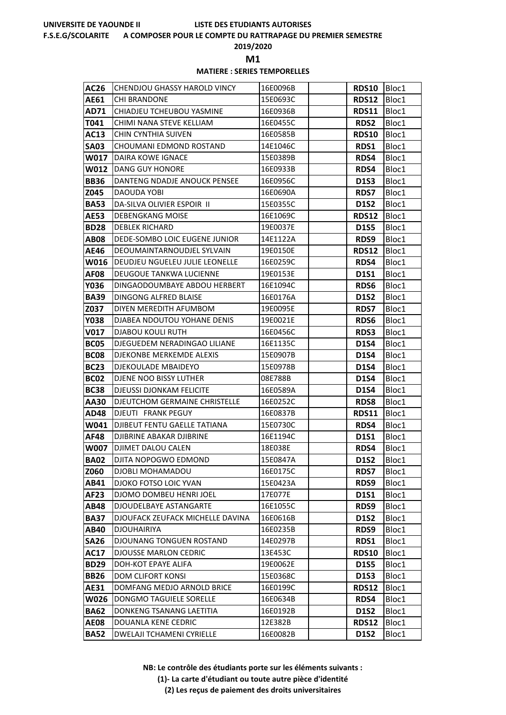#### **F.S.E.G/SCOLARITE A COMPOSER POUR LE COMPTE DU RATTRAPAGE DU PREMIER SEMESTRE**

**2019/2020**

**M1** 

# **MATIERE : SERIES TEMPORELLES**

| AC26        | <b>CHENDJOU GHASSY HAROLD VINCY</b> | 16E0096B | <b>RDS10</b> | Bloc1 |
|-------------|-------------------------------------|----------|--------------|-------|
| <b>AE61</b> | <b>CHI BRANDONE</b>                 | 15E0693C | <b>RDS12</b> | Bloc1 |
| AD71        | CHIADJEU TCHEUBOU YASMINE           | 16E0936B | <b>RDS11</b> | Bloc1 |
| T041        | CHIMI NANA STEVE KELLIAM            | 16E0455C | <b>RDS2</b>  | Bloc1 |
| AC13        | CHIN CYNTHIA SUIVEN                 | 16E0585B | <b>RDS10</b> | Bloc1 |
| <b>SA03</b> | CHOUMANI EDMOND ROSTAND             | 14E1046C | RDS1         | Bloc1 |
| W017        | DAIRA KOWE IGNACE                   | 15E0389B | RDS4         | Bloc1 |
| W012        | <b>DANG GUY HONORE</b>              | 16E0933B | RDS4         | Bloc1 |
| <b>BB36</b> | DANTENG NDADJE ANOUCK PENSEE        | 16E0956C | <b>D1S3</b>  | Bloc1 |
| Z045        | DAOUDA YOBI                         | 16E0690A | <b>RDS7</b>  | Bloc1 |
| <b>BA53</b> | DA-SILVA OLIVIER ESPOIR II          | 15E0355C | <b>D1S2</b>  | Bloc1 |
| <b>AE53</b> | DEBENGKANG MOISE                    | 16E1069C | <b>RDS12</b> | Bloc1 |
| <b>BD28</b> | <b>DEBLEK RICHARD</b>               | 19E0037E | <b>D1S5</b>  | Bloc1 |
| <b>AB08</b> | DEDE-SOMBO LOIC EUGENE JUNIOR       | 14E1122A | RDS9         | Bloc1 |
| AE46        | DEOUMAINTARNOUDJEL SYLVAIN          | 19E0150E | <b>RDS12</b> | Bloc1 |
| W016        | DEUDJEU NGUELEU JULIE LEONELLE      | 16E0259C | <b>RDS4</b>  | Bloc1 |
| <b>AF08</b> | <b>DEUGOUE TANKWA LUCIENNE</b>      | 19E0153E | <b>D1S1</b>  | Bloc1 |
| Y036        | DINGAODOUMBAYE ABDOU HERBERT        | 16E1094C | <b>RDS6</b>  | Bloc1 |
| <b>BA39</b> | DINGONG ALFRED BLAISE               | 16E0176A | <b>D1S2</b>  | Bloc1 |
| Z037        | DIYEN MEREDITH AFUMBOM              | 19E0095E | <b>RDS7</b>  | Bloc1 |
| <b>Y038</b> | DJABEA NDOUTOU YOHANE DENIS         | 19E0021E | RDS6         | Bloc1 |
| <b>V017</b> | DJABOU KOULI RUTH                   | 16E0456C | RDS3         | Bloc1 |
| BC05        | DJEGUEDEM NERADINGAO LILIANE        | 16E1135C | <b>D1S4</b>  | Bloc1 |
| <b>BC08</b> | DJEKONBE MERKEMDE ALEXIS            | 15E0907B | <b>D1S4</b>  | Bloc1 |
| <b>BC23</b> | DJEKOULADE MBAIDEYO                 | 15E0978B | <b>D1S4</b>  | Bloc1 |
| <b>BC02</b> | DJENE NOO BISSY LUTHER              | 08E788B  | <b>D1S4</b>  | Bloc1 |
| <b>BC38</b> | <b>DJEUSSI DJONKAM FELICITE</b>     | 16E0589A | <b>D1S4</b>  | Bloc1 |
| AA30        | DJEUTCHOM GERMAINE CHRISTELLE       | 16E0252C | <b>RDS8</b>  | Bloc1 |
| AD48        | DJEUTI FRANK PEGUY                  | 16E0837B | <b>RDS11</b> | Bloc1 |
| W041        | DJIBEUT FENTU GAELLE TATIANA        | 15E0730C | <b>RDS4</b>  | Bloc1 |
| <b>AF48</b> | <b>DJIBRINE ABAKAR DJIBRINE</b>     | 16E1194C | <b>D1S1</b>  | Bloc1 |
| W007        | <b>DJIMET DALOU CALEN</b>           | 18E038E  | RDS4         | Bloc1 |
| <b>BA02</b> | DJITA NOPOGWO EDMOND                | 15E0847A | D1S2         | Bloc1 |
| <b>Z060</b> | <b>DJOBLI MOHAMADOU</b>             | 16E0175C | <b>RDS7</b>  | Bloc1 |
| AB41        | DJOKO FOTSO LOIC YVAN               | 15E0423A | RDS9         | Bloc1 |
| AF23        | DJOMO DOMBEU HENRI JOEL             | 17E077E  | <b>D1S1</b>  | Bloc1 |
| AB48        | DJOUDELBAYE ASTANGARTE              | 16E1055C | RDS9         | Bloc1 |
| <b>BA37</b> | DJOUFACK ZEUFACK MICHELLE DAVINA    | 16E0616B | <b>D1S2</b>  | Bloc1 |
| <b>AB40</b> | <b>DJOUHAIRIYA</b>                  | 16E0235B | RDS9         | Bloc1 |
| <b>SA26</b> | DJOUNANG TONGUEN ROSTAND            | 14E0297B | RDS1         | Bloc1 |
| <b>AC17</b> | <b>DJOUSSE MARLON CEDRIC</b>        | 13E453C  | <b>RDS10</b> | Bloc1 |
| <b>BD29</b> | DOH-KOT EPAYE ALIFA                 | 19E0062E | <b>D1S5</b>  | Bloc1 |
| <b>BB26</b> | <b>DOM CLIFORT KONSI</b>            | 15E0368C | <b>D1S3</b>  | Bloc1 |
| AE31        | DOMFANG MEDJO ARNOLD BRICE          | 16E0199C | <b>RDS12</b> | Bloc1 |
| W026        | DONGMO TAGUIELE SORELLE             | 16E0634B | <b>RDS4</b>  | Bloc1 |
| <b>BA62</b> | DONKENG TSANANG LAETITIA            | 16E0192B | <b>D1S2</b>  | Bloc1 |
| <b>AE08</b> | DOUANLA KENE CEDRIC                 | 12E382B  | <b>RDS12</b> | Bloc1 |
| <b>BA52</b> | DWELAJI TCHAMENI CYRIELLE           | 16E0082B | <b>D1S2</b>  | Bloc1 |

**NB: Le contrôle des étudiants porte sur les éléments suivants :**

**(1)- La carte d'étudiant ou toute autre pièce d'identité**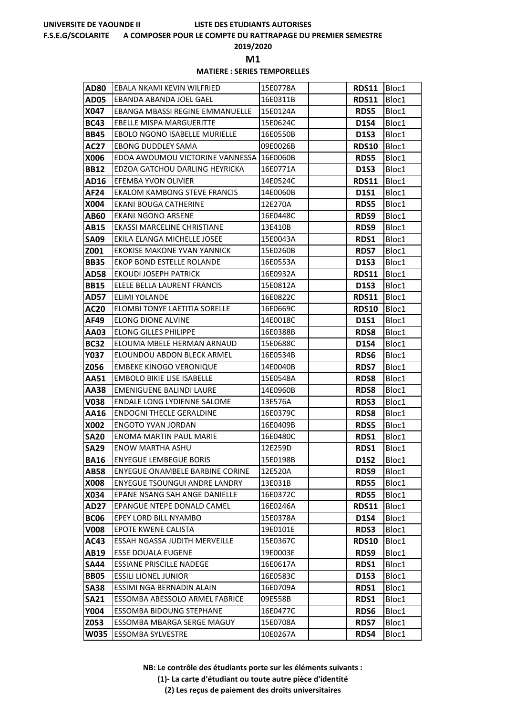#### **F.S.E.G/SCOLARITE A COMPOSER POUR LE COMPTE DU RATTRAPAGE DU PREMIER SEMESTRE**

**2019/2020**

**M1** 

## **MATIERE : SERIES TEMPORELLES**

| <b>AD80</b> | EBALA NKAMI KEVIN WILFRIED               | 15E0778A | <b>RDS11</b> | Bloc1 |
|-------------|------------------------------------------|----------|--------------|-------|
| <b>AD05</b> | EBANDA ABANDA JOEL GAEL                  | 16E0311B | <b>RDS11</b> | Bloc1 |
| X047        | <b>EBANGA MBASSI REGINE EMMANUELLE</b>   | 15E0124A | <b>RDS5</b>  | Bloc1 |
| <b>BC43</b> | EBELLE MISPA MARGUERITTE                 | 15E0624C | <b>D1S4</b>  | Bloc1 |
| <b>BB45</b> | EBOLO NGONO ISABELLE MURIELLE            | 16E0550B | <b>D1S3</b>  | Bloc1 |
| <b>AC27</b> | <b>EBONG DUDDLEY SAMA</b>                | 09E0026B | <b>RDS10</b> | Bloc1 |
| X006        | EDOA AWOUMOU VICTORINE VANNESSA 16E0060B |          | <b>RDS5</b>  | Bloc1 |
| <b>BB12</b> | EDZOA GATCHOU DARLING HEYRICKA           | 16E0771A | D1S3         | Bloc1 |
| AD16        | EFEMBA YVON OLIVIER                      | 14E0524C | <b>RDS11</b> | Bloc1 |
| <b>AF24</b> | EKALOM KAMBONG STEVE FRANCIS             | 14E0060B | <b>D1S1</b>  | Bloc1 |
| X004        | EKANI BOUGA CATHERINE                    | 12E270A  | <b>RDS5</b>  | Bloc1 |
| AB60        | EKANI NGONO ARSENE                       | 16E0448C | RDS9         | Bloc1 |
| AB15        | EKASSI MARCELINE CHRISTIANE              | 13E410B  | RDS9         | Bloc1 |
| <b>SA09</b> | EKILA ELANGA MICHELLE JOSEE              | 15E0043A | RDS1         | Bloc1 |
| Z001        | <b>EKOKISE MAKONE YVAN YANNICK</b>       | 15E0260B | <b>RDS7</b>  | Bloc1 |
| <b>BB35</b> | EKOP BOND ESTELLE ROLANDE                | 16E0553A | <b>D1S3</b>  | Bloc1 |
| <b>AD58</b> | <b>EKOUDI JOSEPH PATRICK</b>             | 16E0932A | <b>RDS11</b> | Bloc1 |
| <b>BB15</b> | ELELE BELLA LAURENT FRANCIS              | 15E0812A | <b>D1S3</b>  | Bloc1 |
| <b>AD57</b> | ELIMI YOLANDE                            | 16E0822C | <b>RDS11</b> | Bloc1 |
| <b>AC20</b> | ELOMBI TONYE LAETITIA SORELLE            | 16E0669C | <b>RDS10</b> | Bloc1 |
| AF49        | <b>ELONG DIONE ALVINE</b>                | 14E0018C | <b>D1S1</b>  | Bloc1 |
| AA03        | <b>ELONG GILLES PHILIPPE</b>             | 16E0388B | <b>RDS8</b>  | Bloc1 |
| <b>BC32</b> | ELOUMA MBELE HERMAN ARNAUD               | 15E0688C | D1S4         | Bloc1 |
| <b>Y037</b> | ELOUNDOU ABDON BLECK ARMEL               | 16E0534B | <b>RDS6</b>  | Bloc1 |
| Z056        | <b>EMBEKE KINOGO VERONIQUE</b>           | 14E0040B | <b>RDS7</b>  | Bloc1 |
| AA51        | <b>EMBOLO BIKIE LISE ISABELLE</b>        | 15E0548A | <b>RDS8</b>  | Bloc1 |
| AA38        | <b>EMENIGUENE BALINDI LAURE</b>          | 14E0960B | <b>RDS8</b>  | Bloc1 |
| <b>V038</b> | ENDALE LONG LYDIENNE SALOME              | 13E576A  | <b>RDS3</b>  | Bloc1 |
| AA16        | <b>ENDOGNI THECLE GERALDINE</b>          | 16E0379C | <b>RDS8</b>  | Bloc1 |
| X002        | <b>ENGOTO YVAN JORDAN</b>                | 16E0409B | <b>RDS5</b>  | Bloc1 |
| <b>SA20</b> | <b>ENOMA MARTIN PAUL MARIE</b>           | 16E0480C | RDS1         | Bloc1 |
| <b>SA29</b> | <b>ENOW MARTHA ASHU</b>                  | 12E259D  | RDS1         | Bloc1 |
| <b>BA16</b> | <b>ENYEGUE LEMBEGUE BORIS</b>            | 15E0198B | D1S2         | Bloc1 |
| <b>AB58</b> | <b>ENYEGUE ONAMBELE BARBINE CORINE</b>   | 12E520A  | RDS9         | Bloc1 |
| X008        | <b>ENYEGUE TSOUNGUI ANDRE LANDRY</b>     | 13E031B  | <b>RDS5</b>  | Bloc1 |
| X034        | EPANE NSANG SAH ANGE DANIELLE            | 16E0372C | <b>RDS5</b>  | Bloc1 |
| AD27        | EPANGUE NTEPE DONALD CAMEL               | 16E0246A | <b>RDS11</b> | Bloc1 |
| <b>BC06</b> | EPEY LORD BILL NYAMBO                    | 15E0378A | <b>D1S4</b>  | Bloc1 |
| <b>V008</b> | EPOTE KWENE CALISTA                      | 19E0101E | <b>RDS3</b>  | Bloc1 |
| AC43        | ESSAH NGASSA JUDITH MERVEILLE            | 15E0367C | <b>RDS10</b> | Bloc1 |
| AB19        | <b>ESSE DOUALA EUGENE</b>                | 19E0003E | RDS9         | Bloc1 |
| <b>SA44</b> | <b>ESSIANE PRISCILLE NADEGE</b>          | 16E0617A | RDS1         | Bloc1 |
| <b>BB05</b> | <b>ESSILI LIONEL JUNIOR</b>              | 16E0583C | D1S3         | Bloc1 |
| <b>SA38</b> | ESSIMI NGA BERNADIN ALAIN                | 16E0709A | RDS1         | Bloc1 |
| <b>SA21</b> | ESSOMBA ABESSOLO ARMEL FABRICE           | 09E558B  | RDS1         | Bloc1 |
| <b>Y004</b> | <b>ESSOMBA BIDOUNG STEPHANE</b>          | 16E0477C | <b>RDS6</b>  | Bloc1 |
| Z053        | ESSOMBA MBARGA SERGE MAGUY               | 15E0708A | <b>RDS7</b>  | Bloc1 |
| <b>W035</b> | <b>ESSOMBA SYLVESTRE</b>                 | 10E0267A | RDS4         | Bloc1 |

**NB: Le contrôle des étudiants porte sur les éléments suivants :**

**(1)- La carte d'étudiant ou toute autre pièce d'identité**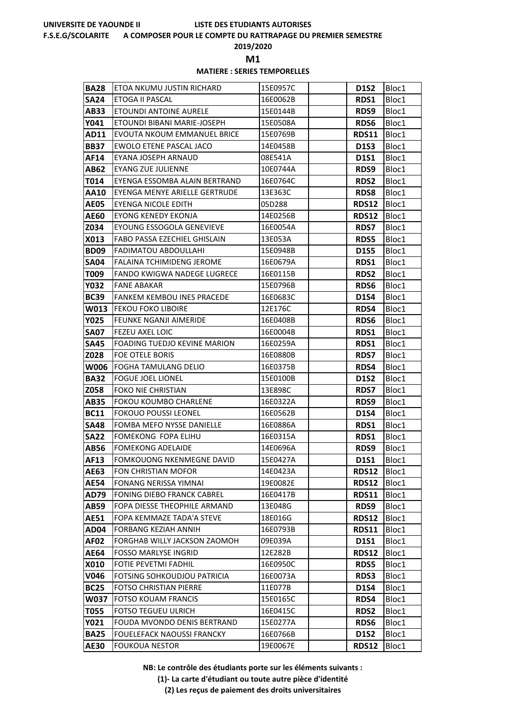#### **F.S.E.G/SCOLARITE A COMPOSER POUR LE COMPTE DU RATTRAPAGE DU PREMIER SEMESTRE**

**2019/2020**

**M1** 

## **MATIERE : SERIES TEMPORELLES**

| <b>BA28</b>                | ETOA NKUMU JUSTIN RICHARD                               | 15E0957C             | <b>D1S2</b>  | Bloc1          |
|----------------------------|---------------------------------------------------------|----------------------|--------------|----------------|
| <b>SA24</b>                | ETOGA II PASCAL                                         | 16E0062B             | RDS1         | Bloc1          |
| AB33                       | ETOUNDI ANTOINE AURELE                                  | 15E0144B             | RDS9         | Bloc1          |
| Y041                       | ETOUNDI BIBANI MARIE-JOSEPH                             | 15E0508A             | <b>RDS6</b>  | Bloc1          |
| AD11                       | EVOUTA NKOUM EMMANUEL BRICE                             | 15E0769B             | <b>RDS11</b> | Bloc1          |
| <b>BB37</b>                | <b>EWOLO ETENE PASCAL JACO</b>                          | 14E0458B             | <b>D1S3</b>  | Bloc1          |
| AF14                       | EYANA JOSEPH ARNAUD                                     | 08E541A              | <b>D1S1</b>  | Bloc1          |
| AB62                       | <b>EYANG ZUE JULIENNE</b>                               | 10E0744A             | RDS9         | Bloc1          |
| T014                       | EYENGA ESSOMBA ALAIN BERTRAND                           | 16E0764C             | <b>RDS2</b>  | Bloc1          |
| <b>AA10</b>                | EYENGA MENYE ARIELLE GERTRUDE                           | 13E363C              | <b>RDS8</b>  | Bloc1          |
| <b>AE05</b>                | <b>EYENGA NICOLE EDITH</b>                              | 05D288               | <b>RDS12</b> | Bloc1          |
| AE60                       | <b>EYONG KENEDY EKONJA</b>                              | 14E0256B             | <b>RDS12</b> | Bloc1          |
| Z034                       | EYOUNG ESSOGOLA GENEVIEVE                               | 16E0054A             | <b>RDS7</b>  | Bloc1          |
| X013                       | FABO PASSA EZECHIEL GHISLAIN                            | 13E053A              | <b>RDS5</b>  | Bloc1          |
| <b>BD09</b>                | <b>FADIMATOU ABDOULLAHI</b>                             | 15E0948B             | <b>D1S5</b>  | Bloc1          |
| <b>SA04</b>                | <b>FALAINA TCHIMIDENG JEROME</b>                        | 16E0679A             | RDS1         | Bloc1          |
| T009                       | <b>FANDO KWIGWA NADEGE LUGRECE</b>                      | 16E0115B             | <b>RDS2</b>  | Bloc1          |
| <b>Y032</b>                | <b>FANE ABAKAR</b>                                      | 15E0796B             | RDS6         | Bloc1          |
| <b>BC39</b>                | <b>FANKEM KEMBOU INES PRACEDE</b>                       | 16E0683C             | <b>D1S4</b>  | Bloc1          |
| W013                       | <b>FEKOU FOKO LIBOIRE</b>                               | 12E176C              | RDS4         | Bloc1          |
| <b>Y025</b>                | <b>FEUNKE NGANJI AIMERIDE</b><br><b>FEZEU AXEL LOIC</b> | 16E0408B<br>16E0004B | <b>RDS6</b>  | Bloc1          |
| <b>SA07</b><br><b>SA45</b> | <b>FOADING TUEDJO KEVINE MARION</b>                     | 16E0259A             | RDS1<br>RDS1 | Bloc1<br>Bloc1 |
| Z028                       | FOE OTELE BORIS                                         | 16E0880B             | <b>RDS7</b>  | Bloc1          |
| <b>W006</b>                | <b>FOGHA TAMULANG DELIO</b>                             | 16E0375B             | RDS4         | Bloc1          |
| <b>BA32</b>                | <b>FOGUE JOEL LIONEL</b>                                | 15E0100B             | <b>D1S2</b>  | Bloc1          |
| Z058                       | <b>FOKO NIE CHRISTIAN</b>                               | 13E898C              | <b>RDS7</b>  | Bloc1          |
| <b>AB35</b>                | <b>FOKOU KOUMBO CHARLENE</b>                            | 16E0322A             | RDS9         | Bloc1          |
| <b>BC11</b>                | <b>FOKOUO POUSSI LEONEL</b>                             | 16E0562B             | <b>D1S4</b>  | Bloc1          |
| <b>SA48</b>                | <b>FOMBA MEFO NYSSE DANIELLE</b>                        | 16E0886A             | RDS1         | Bloc1          |
| <b>SA22</b>                | <b>FOMEKONG FOPA ELIHU</b>                              | 16E0315A             | RDS1         | Bloc1          |
| <b>AB56</b>                | <b>FOMEKONG ADELAIDE</b>                                | 14E0696A             | RDS9         | Bloc1          |
| <b>AF13</b>                | <b>FOMKOUONG NKENMEGNE DAVID</b>                        | 15E0427A             | <b>D1S1</b>  | Bloc1          |
| AE63                       | <b>FON CHRISTIAN MOFOR</b>                              | 14E0423A             | <b>RDS12</b> | Bloc1          |
| <b>AE54</b>                | FONANG NERISSA YIMNAI                                   | 19E0082E             | <b>RDS12</b> | Bloc1          |
| <b>AD79</b>                | <b>FONING DIEBO FRANCK CABREL</b>                       | 16E0417B             | <b>RDS11</b> | Bloc1          |
| AB59                       | FOPA DIESSE THEOPHILE ARMAND                            | 13E048G              | RDS9         | Bloc1          |
| <b>AE51</b>                | FOPA KEMMAZE TADA'A STEVE                               | 18E016G              | <b>RDS12</b> | Bloc1          |
| AD04                       | <b>FORBANG KEZIAH ANNIH</b>                             | 16E0793B             | <b>RDS11</b> | Bloc1          |
| <b>AF02</b>                | FORGHAB WILLY JACKSON ZAOMOH                            | 09E039A              | <b>D1S1</b>  | Bloc1          |
| AE64                       | <b>FOSSO MARLYSE INGRID</b>                             | 12E282B              | <b>RDS12</b> | Bloc1          |
| X010                       | FOTIE PEVETMI FADHIL                                    | 16E0950C             | <b>RDS5</b>  | Bloc1          |
| V046                       | FOTSING SOHKOUDJOU PATRICIA                             | 16E0073A             | RDS3         | Bloc1          |
| <b>BC25</b>                | <b>FOTSO CHRISTIAN PIERRE</b>                           | 11E077B              | <b>D1S4</b>  | Bloc1          |
| W037                       | <b>FOTSO KOUAM FRANCIS</b>                              | 15E0165C             | RDS4         | Bloc1          |
| T055                       | <b>FOTSO TEGUEU ULRICH</b>                              | 16E0415C             | <b>RDS2</b>  | Bloc1          |
| Y021                       | FOUDA MVONDO DENIS BERTRAND                             | 15E0277A             | RDS6         | Bloc1          |
| <b>BA25</b>                | <b>FOUELEFACK NAOUSSI FRANCKY</b>                       | 16E0766B             | <b>D1S2</b>  | Bloc1          |
| AE30                       | <b>FOUKOUA NESTOR</b>                                   | 19E0067E             | <b>RDS12</b> | Bloc1          |

**NB: Le contrôle des étudiants porte sur les éléments suivants :**

**(1)- La carte d'étudiant ou toute autre pièce d'identité**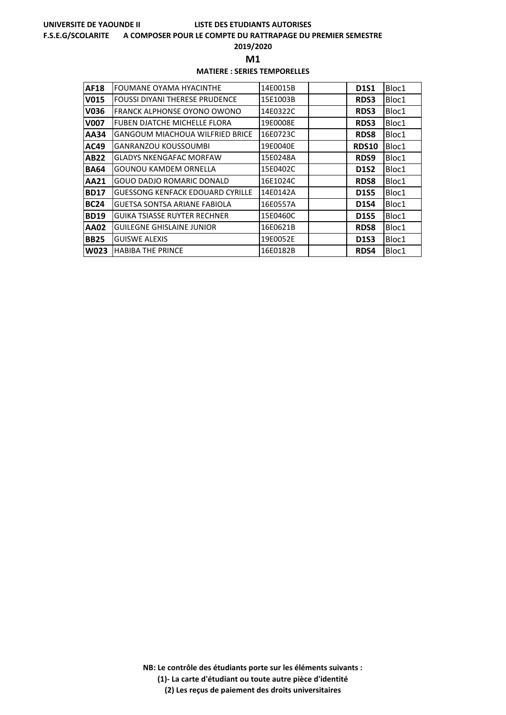#### **F.S.E.G/SCOLARITE A COMPOSER POUR LE COMPTE DU RATTRAPAGE DU PREMIER SEMESTRE**

**2019/2020**

**M1** 

## **MATIERE : SERIES TEMPORELLES**

| <b>AF18</b> | FOUMANE OYAMA HYACINTHE                 | 14E0015B | <b>D1S1</b>  | Bloc1 |
|-------------|-----------------------------------------|----------|--------------|-------|
| V015        | <b>FOUSSI DIYANI THERESE PRUDENCE</b>   | 15E1003B | <b>RDS3</b>  | Bloc1 |
| V036        | FRANCK ALPHONSE OYONO OWONO             | 14E0322C | <b>RDS3</b>  | Bloc1 |
| <b>V007</b> | <b>FUBEN DJATCHE MICHELLE FLORA</b>     | 19E0008E | <b>RDS3</b>  | Bloc1 |
| AA34        | <b>GANGOUM MIACHOUA WILFRIED BRICE</b>  | 16E0723C | <b>RDS8</b>  | Bloc1 |
| AC49        | <b>GANRANZOU KOUSSOUMBI</b>             | 19E0040E | <b>RDS10</b> | Bloc1 |
| <b>AB22</b> | <b>GLADYS NKENGAFAC MORFAW</b>          | 15E0248A | RDS9         | Bloc1 |
| <b>BA64</b> | <b>GOUNOU KAMDEM ORNELLA</b>            | 15E0402C | <b>D1S2</b>  | Bloc1 |
| <b>AA21</b> | GOUO DADJO ROMARIC DONALD               | 16E1024C | <b>RDS8</b>  | Bloc1 |
| <b>BD17</b> | <b>GUESSONG KENFACK EDOUARD CYRILLE</b> | 14E0142A | <b>D1S5</b>  | Bloc1 |
| <b>BC24</b> | <b>GUETSA SONTSA ARIANE FABIOLA</b>     | 16E0557A | <b>D1S4</b>  | Bloc1 |
| <b>BD19</b> | <b>GUIKA TSIASSE RUYTER RECHNER</b>     | 15E0460C | <b>D1S5</b>  | Bloc1 |
| <b>AA02</b> | <b>GUILEGNE GHISLAINE JUNIOR</b>        | 16E0621B | <b>RDS8</b>  | Bloc1 |
| <b>BB25</b> | <b>GUISWE ALEXIS</b>                    | 19E0052E | <b>D1S3</b>  | Bloc1 |
| <b>W023</b> | <b>HABIBA THE PRINCE</b>                | 16E0182B | RDS4         | Bloc1 |

**NB: Le contrôle des étudiants porte sur les éléments suivants : (1)- La carte d'étudiant ou toute autre pièce d'identité**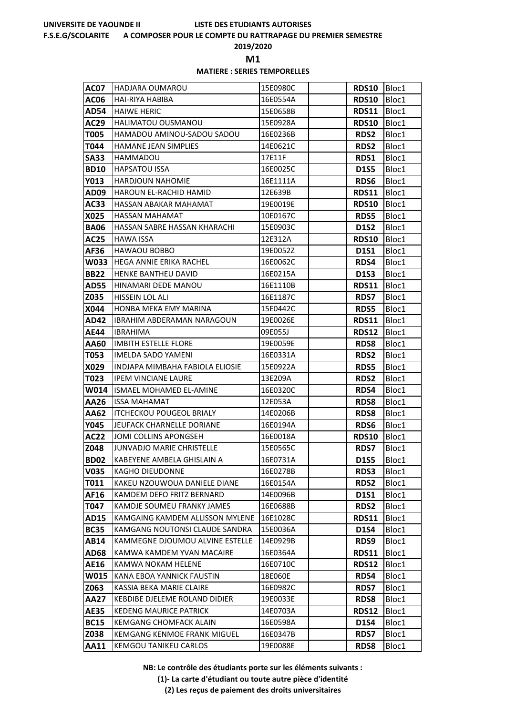#### **F.S.E.G/SCOLARITE A COMPOSER POUR LE COMPTE DU RATTRAPAGE DU PREMIER SEMESTRE**

**2019/2020**

**M1** 

## **MATIERE : SERIES TEMPORELLES**

| AC07         | HADJARA OUMAROU                                               | 15E0980C            | <b>RDS10</b> | Bloc1          |
|--------------|---------------------------------------------------------------|---------------------|--------------|----------------|
| <b>AC06</b>  | HAI-RIYA HABIBA                                               | 16E0554A            | <b>RDS10</b> | Bloc1          |
| <b>AD54</b>  | <b>HAIWE HERIC</b>                                            | 15E0658B            | <b>RDS11</b> | Bloc1          |
| AC29         | HALIMATOU OUSMANOU                                            | 15E0928A            | RDS10        | Bloc1          |
| T005         | HAMADOU AMINOU-SADOU SADOU                                    | 16E0236B            | <b>RDS2</b>  | Bloc1          |
| T044         | <b>HAMANE JEAN SIMPLIES</b>                                   | 14E0621C            | <b>RDS2</b>  | Bloc1          |
| <b>SA33</b>  | HAMMADOU                                                      | 17E11F              | RDS1         | Bloc1          |
| <b>BD10</b>  | <b>HAPSATOU ISSA</b>                                          | 16E0025C            | <b>D1S5</b>  | Bloc1          |
| Y013         | <b>HARDJOUN NAHOMIE</b>                                       | 16E1111A            | RDS6         | Bloc1          |
| AD09         | HAROUN EL-RACHID HAMID                                        | 12E639B             | <b>RDS11</b> | Bloc1          |
| AC33         | HASSAN ABAKAR MAHAMAT                                         | 19E0019E            | <b>RDS10</b> | Bloc1          |
| X025         | <b>HASSAN MAHAMAT</b>                                         | 10E0167C            | <b>RDS5</b>  | Bloc1          |
| <b>BA06</b>  | HASSAN SABRE HASSAN KHARACHI                                  | 15E0903C            | <b>D1S2</b>  | Bloc1          |
| <b>AC25</b>  | <b>HAWA ISSA</b>                                              | 12E312A             | <b>RDS10</b> | Bloc1          |
| AF36         | <b>HAWAOU BOBBO</b>                                           | 19E0052Z            | <b>D1S1</b>  | Bloc1          |
| W033         | HEGA ANNIE ERIKA RACHEL                                       | 16E0062C            | RDS4         | Bloc1          |
| <b>BB22</b>  | HENKE BANTHEU DAVID                                           | 16E0215A            | <b>D1S3</b>  | Bloc1          |
| <b>AD55</b>  | HINAMARI DEDE MANOU                                           | 16E1110B            | <b>RDS11</b> | Bloc1          |
| Z035         | HISSEIN LOL ALI                                               | 16E1187C            | <b>RDS7</b>  | Bloc1          |
| X044         | HONBA MEKA EMY MARINA                                         | 15E0442C            | <b>RDS5</b>  | Bloc1          |
| AD42         | <b>IBRAHIM ABDERAMAN NARAGOUN</b>                             | 19E0026E            | <b>RDS11</b> | Bloc1          |
| AE44         | IBRAHIMA                                                      | 09E055J             | <b>RDS12</b> | Bloc1          |
| AA60         | <b>IMBITH ESTELLE FLORE</b>                                   | 19E0059E            | <b>RDS8</b>  | Bloc1          |
| T053         | <b>IMELDA SADO YAMENI</b>                                     | 16E0331A            | <b>RDS2</b>  | Bloc1          |
| X029         | INDJAPA MIMBAHA FABIOLA ELIOSIE<br><b>IPEM VINCIANE LAURE</b> | 15E0922A<br>13E209A | <b>RDS5</b>  | Bloc1          |
| T023<br>W014 | ISMAEL MOHAMED EL-AMINE                                       | 16E0320C            | RDS2<br>RDS4 | Bloc1<br>Bloc1 |
| AA26         | <b>ISSA MAHAMAT</b>                                           | 12E053A             | <b>RDS8</b>  | Bloc1          |
| AA62         | <b>ITCHECKOU POUGEOL BRIALY</b>                               | 14E0206B            | <b>RDS8</b>  | Bloc1          |
| Y045         | JEUFACK CHARNELLE DORIANE                                     | 16E0194A            | <b>RDS6</b>  | Bloc1          |
| <b>AC22</b>  | JOMI COLLINS APONGSEH                                         | 16E0018A            | <b>RDS10</b> | Bloc1          |
| Z048         | JUNVADJO MARIE CHRISTELLE                                     | 15E0565C            | <b>RDS7</b>  | Bloc1          |
| <b>BD02</b>  | KABEYENE AMBELA GHISLAIN A                                    | 16E0731A            | <b>D1S5</b>  | Bloc1          |
| V035         | <b>KAGHO DIEUDONNE</b>                                        | 16E0278B            | <b>RDS3</b>  | Bloc1          |
| T011         | KAKEU NZOUWOUA DANIELE DIANE                                  | 16E0154A            | <b>RDS2</b>  | Bloc1          |
| AF16         | KAMDEM DEFO FRITZ BERNARD                                     | 14E0096B            | D1S1         | Bloc1          |
| T047         | KAMDJE SOUMEU FRANKY JAMES                                    | 16E0688B            | <b>RDS2</b>  | Bloc1          |
| AD15         | KAMGAING KAMDEM ALLISSON MYLENE                               | 16E1028C            | <b>RDS11</b> | Bloc1          |
| <b>BC35</b>  | KAMGANG NOUTONSI CLAUDE SANDRA                                | 15E0036A            | <b>D1S4</b>  | Bloc1          |
| AB14         | KAMMEGNE DJOUMOU ALVINE ESTELLE                               | 14E0929B            | RDS9         | Bloc1          |
| AD68         | KAMWA KAMDEM YVAN MACAIRE                                     | 16E0364A            | <b>RDS11</b> | Bloc1          |
| <b>AE16</b>  | KAMWA NOKAM HELENE                                            | 16E0710C            | <b>RDS12</b> | Bloc1          |
| W015         | KANA EBOA YANNICK FAUSTIN                                     | 18E060E             | RDS4         | Bloc1          |
| Z063         | KASSIA BEKA MARIE CLAIRE                                      | 16E0982C            | <b>RDS7</b>  | Bloc1          |
| AA27         | KEBDIBE DJELEME ROLAND DIDIER                                 | 19E0033E            | <b>RDS8</b>  | Bloc1          |
| <b>AE35</b>  | <b>KEDENG MAURICE PATRICK</b>                                 | 14E0703A            | <b>RDS12</b> | Bloc1          |
| <b>BC15</b>  | <b>KEMGANG CHOMFACK ALAIN</b>                                 | 16E0598A            | <b>D1S4</b>  | Bloc1          |
| Z038         | <b>KEMGANG KENMOE FRANK MIGUEL</b>                            | 16E0347B            | <b>RDS7</b>  | Bloc1          |
| AA11         | KEMGOU TANIKEU CARLOS                                         | 19E0088E            | <b>RDS8</b>  | Bloc1          |

**NB: Le contrôle des étudiants porte sur les éléments suivants :**

**(1)- La carte d'étudiant ou toute autre pièce d'identité**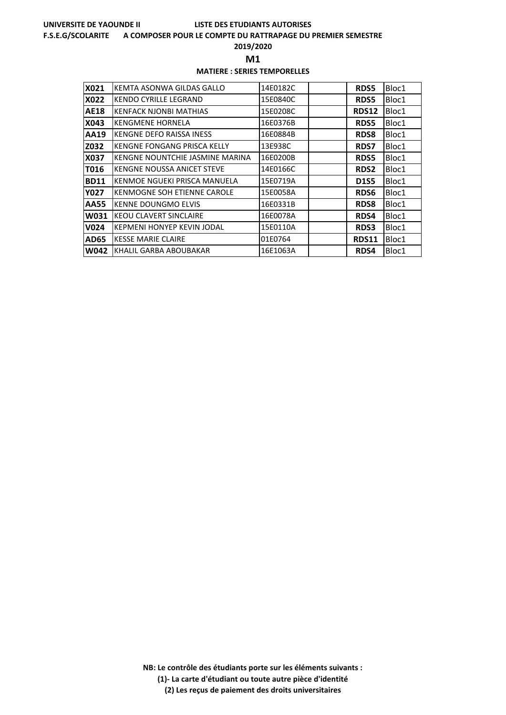#### **F.S.E.G/SCOLARITE A COMPOSER POUR LE COMPTE DU RATTRAPAGE DU PREMIER SEMESTRE**

**2019/2020**

**M1** 

## **MATIERE : SERIES TEMPORELLES**

| X021        | KEMTA ASONWA GILDAS GALLO         | 14E0182C | <b>RDS5</b>  | Bloc1 |
|-------------|-----------------------------------|----------|--------------|-------|
| X022        | <b>KENDO CYRILLE LEGRAND</b>      | 15E0840C | <b>RDS5</b>  | Bloc1 |
| <b>AE18</b> | <b>KENFACK NJONBI MATHIAS</b>     | 15E0208C | <b>RDS12</b> | Bloc1 |
| X043        | <b>KENGMENE HORNELA</b>           | 16E0376B | <b>RDS5</b>  | Bloc1 |
| AA19        | KENGNE DEFO RAISSA INESS          | 16E0884B | <b>RDS8</b>  | Bloc1 |
| Z032        | KENGNE FONGANG PRISCA KELLY       | 13E938C  | <b>RDS7</b>  | Bloc1 |
| X037        | KENGNE NOUNTCHIE JASMINE MARINA   | 16E0200B | <b>RDS5</b>  | Bloc1 |
| T016        | KENGNE NOUSSA ANICET STEVE        | 14E0166C | <b>RDS2</b>  | Bloc1 |
| <b>BD11</b> | KENMOE NGUEKI PRISCA MANUELA      | 15E0719A | <b>D1S5</b>  | Bloc1 |
| <b>Y027</b> | KENMOGNE SOH ETIENNE CAROLE       | 15E0058A | <b>RDS6</b>  | Bloc1 |
| <b>AA55</b> | <b>KENNE DOUNGMO ELVIS</b>        | 16E0331B | <b>RDS8</b>  | Bloc1 |
| W031        | KEOU CLAVERT SINCLAIRE            | 16E0078A | <b>RDS4</b>  | Bloc1 |
| V024        | <b>KEPMENI HONYEP KEVIN JODAL</b> | 15E0110A | <b>RDS3</b>  | Bloc1 |
| <b>AD65</b> | <b>KESSE MARIE CLAIRE</b>         | 01E0764  | <b>RDS11</b> | Bloc1 |
| <b>W042</b> | KHALIL GARBA ABOUBAKAR            | 16E1063A | <b>RDS4</b>  | Bloc1 |

**NB: Le contrôle des étudiants porte sur les éléments suivants : (1)- La carte d'étudiant ou toute autre pièce d'identité**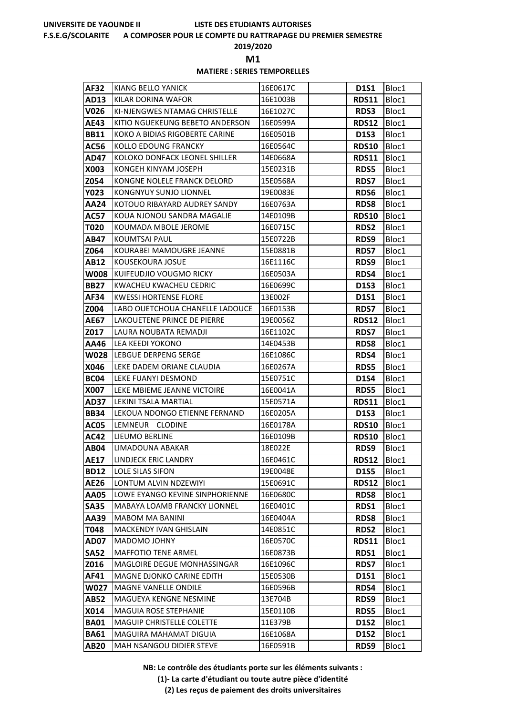#### **F.S.E.G/SCOLARITE A COMPOSER POUR LE COMPTE DU RATTRAPAGE DU PREMIER SEMESTRE**

**2019/2020**

**M1** 

## **MATIERE : SERIES TEMPORELLES**

| AF32                | KIANG BELLO YANICK                               | 16E0617C             | <b>D1S1</b>                 | Bloc1          |
|---------------------|--------------------------------------------------|----------------------|-----------------------------|----------------|
| AD13                | KILAR DORINA WAFOR                               | 16E1003B             | <b>RDS11</b>                | Bloc1          |
| V026                | KI-NJENGWES NTAMAG CHRISTELLE                    | 16E1027C             | <b>RDS3</b>                 | Bloc1          |
| <b>AE43</b>         | KITIO NGUEKEUNG BEBETO ANDERSON                  | 16E0599A             | RDS12                       | Bloc1          |
| <b>BB11</b>         | KOKO A BIDIAS RIGOBERTE CARINE                   | 16E0501B             | D1S3                        | Bloc1          |
| AC56                | KOLLO EDOUNG FRANCKY                             | 16E0564C             | <b>RDS10</b>                | Bloc1          |
| AD47                | KOLOKO DONFACK LEONEL SHILLER                    | 14E0668A             | <b>RDS11</b>                | Bloc1          |
| X003                | KONGEH KINYAM JOSEPH                             | 15E0231B             | <b>RDS5</b>                 | Bloc1          |
| Z054                | KONGNE NOLELE FRANCK DELORD                      | 15E0568A             | <b>RDS7</b>                 | Bloc1          |
| <b>Y023</b>         | KONGNYUY SUNJO LIONNEL                           | 19E0083E             | <b>RDS6</b>                 | Bloc1          |
| AA24                | KOTOUO RIBAYARD AUDREY SANDY                     | 16E0763A             | <b>RDS8</b>                 | Bloc1          |
| AC57                | KOUA NJONOU SANDRA MAGALIE                       | 14E0109B             | <b>RDS10</b>                | Bloc1          |
| T020                | KOUMADA MBOLE JEROME                             | 16E0715C             | <b>RDS2</b>                 | Bloc1          |
| AB47                | <b>KOUMTSAI PAUL</b>                             | 15E0722B             | RDS9                        | Bloc1          |
| Z064                | KOURABEI MAMOUGRE JEANNE                         | 15E0881B             | <b>RDS7</b>                 | Bloc1          |
| AB12                | KOUSEKOURA JOSUE                                 | 16E1116C             | RDS9                        | Bloc1          |
| W008                | <b>IKUIFEUDJIO VOUGMO RICKY</b>                  | 16E0503A             | <b>RDS4</b>                 | Bloc1          |
| <b>BB27</b>         | KWACHEU KWACHEU CEDRIC                           | 16E0699C             | <b>D1S3</b>                 | Bloc1          |
| AF34                | <b>KWESSI HORTENSE FLORE</b>                     | 13E002F              | <b>D1S1</b>                 | Bloc1          |
| Z004                | LABO OUETCHOUA CHANELLE LADOUCE                  | 16E0153B             | <b>RDS7</b>                 | Bloc1          |
| <b>AE67</b>         | LAKOUETENE PRINCE DE PIERRE                      | 19E0056Z             | <b>RDS12</b>                | Bloc1          |
| Z017                | LAURA NOUBATA REMADJI                            | 16E1102C             | <b>RDS7</b>                 | Bloc1          |
| AA46                | LEA KEEDI YOKONO                                 | 14E0453B             | <b>RDS8</b>                 | Bloc1          |
| <b>W028</b>         | <b>LEBGUE DERPENG SERGE</b>                      | 16E1086C             | <b>RDS4</b>                 | Bloc1          |
| X046                | LEKE DADEM ORIANE CLAUDIA<br>LEKE FUANYI DESMOND | 16E0267A             | <b>RDS5</b>                 | Bloc1          |
| BC04                | LEKE MBIEME JEANNE VICTOIRE                      | 15E0751C<br>16E0041A | <b>D1S4</b>                 | Bloc1          |
| X007<br><b>AD37</b> | LEKINI TSALA MARTIAL                             | 15E0571A             | <b>RDS5</b><br><b>RDS11</b> | Bloc1<br>Bloc1 |
| <b>BB34</b>         | LEKOUA NDONGO ETIENNE FERNAND                    | 16E0205A             | <b>D1S3</b>                 | Bloc1          |
| AC05                | LEMNEUR CLODINE                                  | 16E0178A             | <b>RDS10</b>                | Bloc1          |
| <b>AC42</b>         | LIEUMO BERLINE                                   | 16E0109B             | <b>RDS10</b>                | Bloc1          |
| <b>AB04</b>         | LIMADOUNA ABAKAR                                 | 18E022E              | RDS9                        | Bloc1          |
| <b>AE17</b>         | <b>LINDJECK ERIC LANDRY</b>                      | 16E0461C             | RDS12                       | Bloc1          |
| <b>BD12</b>         | <b>LOLE SILAS SIFON</b>                          | 19E0048E             | <b>D1S5</b>                 | Bloc1          |
| <b>AE26</b>         | LONTUM ALVIN NDZEWIYI                            | 15E0691C             | <b>RDS12</b>                | Bloc1          |
| AA05                | LOWE EYANGO KEVINE SINPHORIENNE                  | 16E0680C             | <b>RDS8</b>                 | Bloc1          |
| <b>SA35</b>         | MABAYA LOAMB FRANCKY LIONNEL                     | 16E0401C             | RDS1                        | Bloc1          |
| AA39                | MABOM MA BANINI                                  | 16E0404A             | <b>RDS8</b>                 | Bloc1          |
| T048                | MACKENDY IVAN GHISLAIN                           | 14E0851C             | RDS2                        | Bloc1          |
| <b>AD07</b>         | MADOMO JOHNY                                     | 16E0570C             | <b>RDS11</b>                | Bloc1          |
| <b>SA52</b>         | <b>MAFFOTIO TENE ARMEL</b>                       | 16E0873B             | RDS1                        | Bloc1          |
| Z016                | MAGLOIRE DEGUE MONHASSINGAR                      | 16E1096C             | <b>RDS7</b>                 | Bloc1          |
| AF41                | MAGNE DJONKO CARINE EDITH                        | 15E0530B             | D1S1                        | Bloc1          |
| W027                | MAGNE VANELLE ONDILE                             | 16E0596B             | RDS4                        | Bloc1          |
| AB52                | MAGUEYA KENGNE NESMINE                           | 13E704B              | RDS9                        | Bloc1          |
| X014                | MAGUIA ROSE STEPHANIE                            | 15E0110B             | <b>RDS5</b>                 | Bloc1          |
| <b>BA01</b>         | <b>MAGUIP CHRISTELLE COLETTE</b>                 | 11E379B              | <b>D1S2</b>                 | Bloc1          |
| <b>BA61</b>         | MAGUIRA MAHAMAT DIGUIA                           | 16E1068A             | <b>D1S2</b>                 | Bloc1          |
| <b>AB20</b>         | MAH NSANGOU DIDIER STEVE                         | 16E0591B             | RDS9                        | Bloc1          |

**NB: Le contrôle des étudiants porte sur les éléments suivants :**

**(1)- La carte d'étudiant ou toute autre pièce d'identité**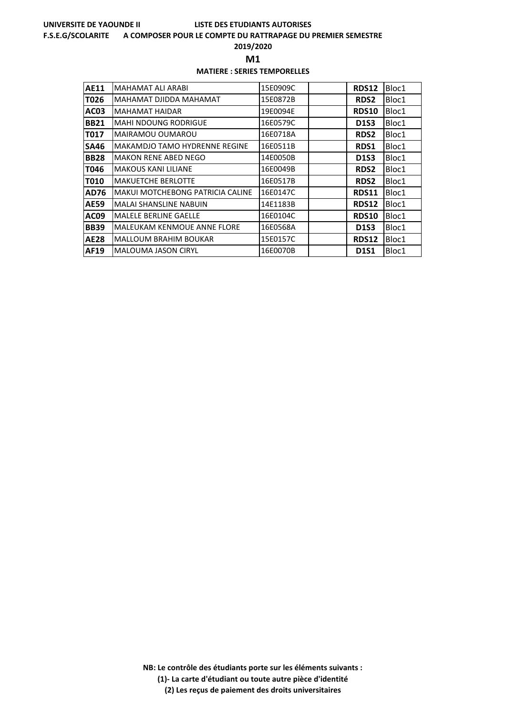#### **F.S.E.G/SCOLARITE A COMPOSER POUR LE COMPTE DU RATTRAPAGE DU PREMIER SEMESTRE**

**2019/2020**

**M1** 

## **MATIERE : SERIES TEMPORELLES**

| <b>AE11</b> | MAHAMAT ALI ARABI                       | 15E0909C | <b>RDS12</b> | Bloc1 |
|-------------|-----------------------------------------|----------|--------------|-------|
| T026        | MAHAMAT DJIDDA MAHAMAT                  | 15E0872B | <b>RDS2</b>  | Bloc1 |
| <b>AC03</b> | MAHAMAT HAIDAR                          | 19E0094E | <b>RDS10</b> | Bloc1 |
| <b>BB21</b> | <b>MAHI NDOUNG RODRIGUE</b>             | 16E0579C | <b>D1S3</b>  | Bloc1 |
| T017        | MAIRAMOU OUMAROU                        | 16E0718A | <b>RDS2</b>  | Bloc1 |
| <b>SA46</b> | <b>MAKAMDJO TAMO HYDRENNE REGINE</b>    | 16E0511B | <b>RDS1</b>  | Bloc1 |
| <b>BB28</b> | <b>MAKON RENE ABED NEGO</b>             | 14E0050B | <b>D1S3</b>  | Bloc1 |
| T046        | <b>MAKOUS KANI LILIANE</b>              | 16E0049B | <b>RDS2</b>  | Bloc1 |
| T010        | <b>MAKUETCHE BERLOTTE</b>               | 16E0517B | <b>RDS2</b>  | Bloc1 |
| AD76        | <b>MAKUI MOTCHEBONG PATRICIA CALINE</b> | 16E0147C | <b>RDS11</b> | Bloc1 |
| <b>AE59</b> | <b>MALAI SHANSLINE NABUIN</b>           | 14E1183B | <b>RDS12</b> | Bloc1 |
| <b>AC09</b> | <b>MALELE BERLINE GAELLE</b>            | 16E0104C | <b>RDS10</b> | Bloc1 |
| <b>BB39</b> | MALEUKAM KENMOUE ANNE FLORE             | 16E0568A | D1S3         | Bloc1 |
| <b>AE28</b> | <b>MALLOUM BRAHIM BOUKAR</b>            | 15E0157C | <b>RDS12</b> | Bloc1 |
| AF19        | <b>MALOUMA JASON CIRYL</b>              | 16E0070B | <b>D1S1</b>  | Bloc1 |

**NB: Le contrôle des étudiants porte sur les éléments suivants : (1)- La carte d'étudiant ou toute autre pièce d'identité**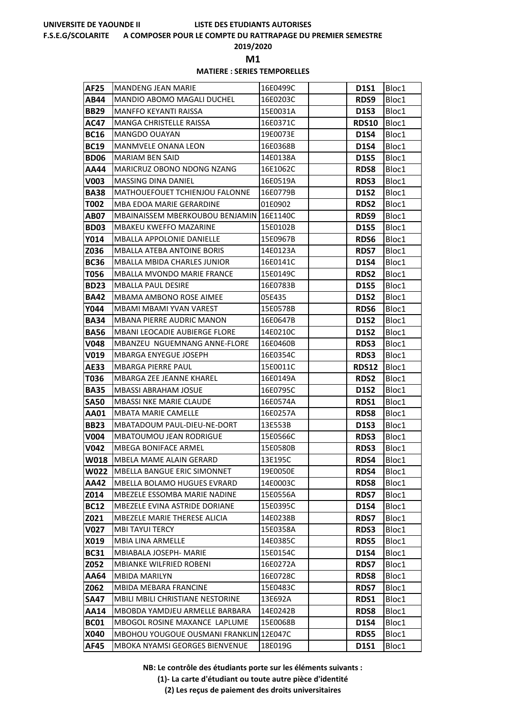#### **F.S.E.G/SCOLARITE A COMPOSER POUR LE COMPTE DU RATTRAPAGE DU PREMIER SEMESTRE**

**2019/2020**

**M1** 

## **MATIERE : SERIES TEMPORELLES**

| <b>AF25</b>  | MANDENG JEAN MARIE                                                | 16E0499C             | <b>D1S1</b>                | Bloc1          |
|--------------|-------------------------------------------------------------------|----------------------|----------------------------|----------------|
| AB44         | <b>MANDIO ABOMO MAGALI DUCHEL</b>                                 | 16E0203C             | RDS9                       | Bloc1          |
| <b>BB29</b>  | <b>MANFFO KEYANTI RAISSA</b>                                      | 15E0031A             | <b>D1S3</b>                | Bloc1          |
| AC47         | MANGA CHRISTELLE RAISSA                                           | 16E0371C             | <b>RDS10</b>               | Bloc1          |
| <b>BC16</b>  | <b>MANGDO OUAYAN</b>                                              | 19E0073E             | <b>D1S4</b>                | Bloc1          |
| <b>BC19</b>  | MANMVELE ONANA LEON                                               | 16E0368B             | <b>D1S4</b>                | Bloc1          |
| <b>BD06</b>  | <b>MARIAM BEN SAID</b>                                            | 14E0138A             | <b>D1S5</b>                | Bloc1          |
| AA44         | MARICRUZ OBONO NDONG NZANG                                        | 16E1062C             | <b>RDS8</b>                | Bloc1          |
| V003         | MASSING DINA DANIEL                                               | 16E0519A             | <b>RDS3</b>                | Bloc1          |
| <b>BA38</b>  | MATHOUEFOUET TCHIENJOU FALONNE                                    | 16E0779B             | <b>D1S2</b>                | Bloc1          |
| T002         | MBA EDOA MARIE GERARDINE                                          | 01E0902              | <b>RDS2</b>                | Bloc1          |
| AB07         | MBAINAISSEM MBERKOUBOU BENJAMIN 16E1140C                          |                      | RDS9                       | Bloc1          |
| <b>BD03</b>  | MBAKEU KWEFFO MAZARINE                                            | 15E0102B             | <b>D1S5</b>                | Bloc1          |
| Y014         | MBALLA APPOLONIE DANIELLE                                         | 15E0967B             | <b>RDS6</b>                | Bloc1          |
| Z036         | <b>MBALLA ATEBA ANTOINE BORIS</b>                                 | 14E0123A             | <b>RDS7</b>                | Bloc1          |
| <b>BC36</b>  | MBALLA MBIDA CHARLES JUNIOR                                       | 16E0141C             | <b>D1S4</b>                | Bloc1          |
| T056         | <b>MBALLA MVONDO MARIE FRANCE</b>                                 | 15E0149C             | <b>RDS2</b>                | Bloc1          |
| <b>BD23</b>  | MBALLA PAUL DESIRE                                                | 16E0783B             | <b>D1S5</b>                | Bloc1          |
| <b>BA42</b>  | MBAMA AMBONO ROSE AIMEE                                           | 05E435               | <b>D1S2</b>                | Bloc1          |
| Y044         | <b>MBAMI MBAMI YVAN VAREST</b>                                    | 15E0578B             | <b>RDS6</b>                | Bloc1          |
| <b>BA34</b>  | MBANA PIERRE AUDRIC MANON                                         | 16E0647B             | <b>D1S2</b>                | Bloc1          |
| <b>BA56</b>  | <b>MBANI LEOCADIE AUBIERGE FLORE</b>                              | 14E0210C             | <b>D1S2</b>                | Bloc1          |
| V048         | MBANZEU NGUEMNANG ANNE-FLORE                                      | 16E0460B             | <b>RDS3</b>                | Bloc1          |
| V019         | MBARGA ENYEGUE JOSEPH                                             | 16E0354C             | <b>RDS3</b>                | Bloc1          |
| <b>AE33</b>  | MBARGA PIERRE PAUL                                                | 15E0011C             | <b>RDS12</b>               | Bloc1          |
| T036         | MBARGA ZEE JEANNE KHAREL                                          | 16E0149A             | <b>RDS2</b>                | Bloc1          |
| <b>BA35</b>  | <b>MBASSI ABRAHAM JOSUE</b>                                       | 16E0795C             | <b>D1S2</b>                | Bloc1          |
| <b>SA50</b>  | <b>MBASSI NKE MARIE CLAUDE</b>                                    | 16E0574A             | <b>RDS1</b>                | Bloc1          |
| <b>AA01</b>  | <b>MBATA MARIE CAMELLE</b>                                        | 16E0257A             | <b>RDS8</b>                | Bloc1          |
| <b>BB23</b>  | MBATADOUM PAUL-DIEU-NE-DORT                                       | 13E553B              | <b>D1S3</b>                | Bloc1          |
| V004         | MBATOUMOU JEAN RODRIGUE                                           | 15E0566C             | <b>RDS3</b>                | Bloc1          |
| V042         | MBEGA BONIFACE ARMEL                                              | 15E0580B             | <b>RDS3</b>                | Bloc1          |
| <b>W018</b>  | MBELA MAME ALAIN GERARD                                           | 13E195C              | RDS4                       | Bloc1          |
| W022         | MBELLA BANGUE ERIC SIMONNET<br><b>MBELLA BOLAMO HUGUES EVRARD</b> | 19E0050E             | RDS4                       | Bloc1          |
| AA42<br>Z014 | MBEZELE ESSOMBA MARIE NADINE                                      | 14E0003C<br>15E0556A | <b>RDS8</b><br><b>RDS7</b> | Bloc1<br>Bloc1 |
| <b>BC12</b>  | MBEZELE EVINA ASTRIDE DORIANE                                     | 15E0395C             | <b>D1S4</b>                | Bloc1          |
| Z021         | MBEZELE MARIE THERESE ALICIA                                      | 14E0238B             | <b>RDS7</b>                | Bloc1          |
| <b>V027</b>  | <b>MBI TAYUI TERCY</b>                                            | 15E0358A             | <b>RDS3</b>                | Bloc1          |
| X019         | MBIA LINA ARMELLE                                                 | 14E0385C             | <b>RDS5</b>                | Bloc1          |
| <b>BC31</b>  | <b>MBIABALA JOSEPH- MARIE</b>                                     | 15E0154C             | <b>D1S4</b>                | Bloc1          |
| Z052         | MBIANKE WILFRIED ROBENI                                           | 16E0272A             | <b>RDS7</b>                | Bloc1          |
| AA64         | MBIDA MARILYN                                                     | 16E0728C             | <b>RDS8</b>                | Bloc1          |
| Z062         | MBIDA MEBARA FRANCINE                                             | 15E0483C             | <b>RDS7</b>                | Bloc1          |
| SA47         | MBILI MBILI CHRISTIANE NESTORINE                                  | 13E692A              | RDS1                       | Bloc1          |
| AA14         | MBOBDA YAMDJEU ARMELLE BARBARA                                    | 14E0242B             | <b>RDS8</b>                | Bloc1          |
| <b>BC01</b>  | MBOGOL ROSINE MAXANCE LAPLUME                                     | 15E0068B             | D1S4                       | Bloc1          |
| X040         | MBOHOU YOUGOUE OUSMANI FRANKLIN 12E047C                           |                      | <b>RDS5</b>                | Bloc1          |
| <b>AF45</b>  | MBOKA NYAMSI GEORGES BIENVENUE                                    | 18E019G              | D1S1                       | Bloc1          |

**NB: Le contrôle des étudiants porte sur les éléments suivants :**

**(1)- La carte d'étudiant ou toute autre pièce d'identité**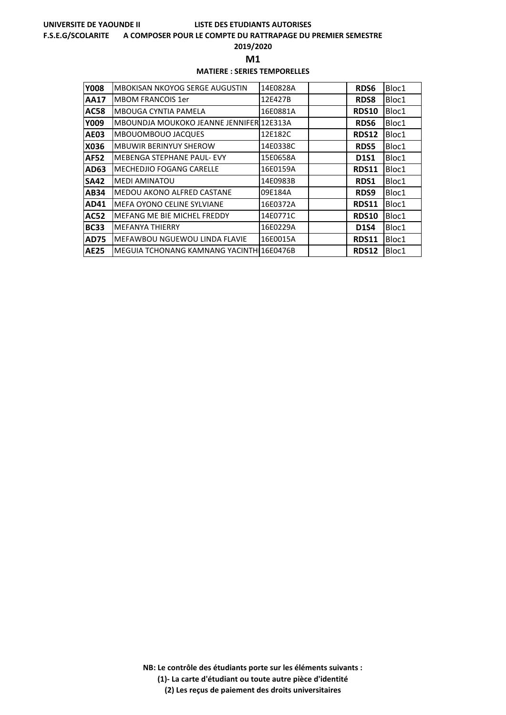#### **F.S.E.G/SCOLARITE A COMPOSER POUR LE COMPTE DU RATTRAPAGE DU PREMIER SEMESTRE**

**2019/2020**

**M1** 

## **MATIERE : SERIES TEMPORELLES**

| <b>Y008</b> | <b>MBOKISAN NKOYOG SERGE AUGUSTIN</b>    | 14E0828A | RDS6         | Bloc1 |
|-------------|------------------------------------------|----------|--------------|-------|
| <b>AA17</b> | <b>MBOM FRANCOIS 1er</b>                 | 12E427B  | <b>RDS8</b>  | Bloc1 |
| <b>AC58</b> | <b>MBOUGA CYNTIA PAMELA</b>              | 16E0881A | <b>RDS10</b> | Bloc1 |
| <b>Y009</b> | MBOUNDJA MOUKOKO JEANNE JENNIFER 12E313A |          | <b>RDS6</b>  | Bloc1 |
| <b>AE03</b> | <b>MBOUOMBOUO JACQUES</b>                | 12E182C  | <b>RDS12</b> | Bloc1 |
| X036        | <b>MBUWIR BERINYUY SHEROW</b>            | 14E0338C | <b>RDS5</b>  | Bloc1 |
| <b>AF52</b> | <b>MEBENGA STEPHANE PAUL- EVY</b>        | 15E0658A | <b>D1S1</b>  | Bloc1 |
| AD63        | <b>MECHEDJIO FOGANG CARELLE</b>          | 16E0159A | <b>RDS11</b> | Bloc1 |
| <b>SA42</b> | <b>MEDI AMINATOU</b>                     | 14E0983B | <b>RDS1</b>  | Bloc1 |
| <b>AB34</b> | <b>MEDOU AKONO ALFRED CASTANE</b>        | 09E184A  | RDS9         | Bloc1 |
| AD41        | MEFA OYONO CELINE SYLVIANE               | 16E0372A | <b>RDS11</b> | Bloc1 |
| <b>AC52</b> | MEFANG ME BIE MICHEL FREDDY              | 14E0771C | <b>RDS10</b> | Bloc1 |
| <b>BC33</b> | <b>MEFANYA THIERRY</b>                   | 16E0229A | <b>D1S4</b>  | Bloc1 |
| <b>AD75</b> | MEFAWBOU NGUEWOU LINDA FLAVIE            | 16E0015A | <b>RDS11</b> | Bloc1 |
| <b>AE25</b> | MEGUIA TCHONANG KAMNANG YACINTHI16E0476B |          | <b>RDS12</b> | Bloc1 |

**NB: Le contrôle des étudiants porte sur les éléments suivants : (1)- La carte d'étudiant ou toute autre pièce d'identité**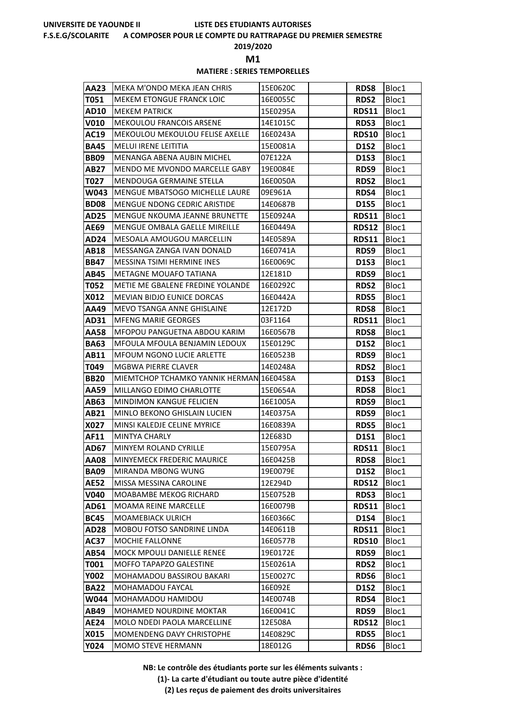#### **F.S.E.G/SCOLARITE A COMPOSER POUR LE COMPTE DU RATTRAPAGE DU PREMIER SEMESTRE**

**2019/2020**

**M1** 

## **MATIERE : SERIES TEMPORELLES**

| T051<br><b>MEKEM ETONGUE FRANCK LOIC</b><br>16E0055C<br>RDS2<br>Bloc1<br><b>AD10</b><br>15E0295A<br><b>RDS11</b><br>Bloc1<br><b>MEKEM PATRICK</b><br>MEKOULOU FRANCOIS ARSENE<br>14E1015C<br>V010<br><b>RDS3</b><br>Bloc1<br>AC19<br>MEKOULOU MEKOULOU FELISE AXELLE<br><b>RDS10</b><br>Bloc1<br>16E0243A<br><b>MELUI IRENE LEITITIA</b><br>15E0081A<br><b>BA45</b><br><b>D1S2</b><br>Bloc1<br><b>BB09</b><br>MENANGA ABENA AUBIN MICHEL<br>07E122A<br><b>D1S3</b><br>Bloc1<br>MENDO ME MVONDO MARCELLE GABY<br>19E0084E<br>AB27<br>RDS9<br>Bloc1<br>T027<br>MENDOUGA GERMAINE STELLA<br>16E0050A<br><b>RDS2</b><br>Bloc1<br>MENGUE MBATSOGO MICHELLE LAURE<br>W043<br>09E961A<br>RDS4<br>Bloc1<br><b>BD08</b><br>MENGUE NDONG CEDRIC ARISTIDE<br>14E0687B<br>Bloc1<br><b>D1S5</b><br>MENGUE NKOUMA JEANNE BRUNETTE<br>15E0924A<br>Bloc1<br>AD25<br><b>RDS11</b><br>AE69<br>MENGUE OMBALA GAELLE MIREILLE<br>16E0449A<br><b>RDS12</b><br>Bloc1<br>MESOALA AMOUGOU MARCELLIN<br>14E0589A<br><b>RDS11</b><br>Bloc1<br>AD24<br>AB18<br>RDS9<br>Bloc1<br>MESSANGA ZANGA IVAN DONALD<br>16E0741A<br>MESSINA TSIMI HERMINE INES<br>16E0069C<br><b>BB47</b><br><b>D1S3</b><br>Bloc1<br>AB45<br><b>METAGNE MOUAFO TATIANA</b><br>12E181D<br><b>RDS9</b><br>Bloc1<br>METIE ME GBALENE FREDINE YOLANDE<br>16E0292C<br>T052<br><b>RDS2</b><br>Bloc1<br>X012<br><b>MEVIAN BIDJO EUNICE DORCAS</b><br>16E0442A<br><b>RDS5</b><br>Bloc1<br>12E172D<br>AA49<br>MEVO TSANGA ANNE GHISLAINE<br><b>RDS8</b><br>Bloc1<br>03F1164<br>Bloc1<br>AD31<br><b>MFENG MARIE GEORGES</b><br><b>RDS11</b><br>AA58<br>MFOPOU PANGUETNA ABDOU KARIM<br>16E0567B<br><b>RDS8</b><br>Bloc1<br><b>BA63</b><br><b>D1S2</b><br>Bloc1<br>MFOULA MFOULA BENJAMIN LEDOUX<br>15E0129C<br><b>MFOUM NGONO LUCIE ARLETTE</b><br>16E0523B<br>AB11<br>RDS9<br>Bloc1<br>T049<br>MGBWA PIERRE CLAVER<br>14E0248A<br><b>RDS2</b><br>Bloc1<br>MIEMTCHOP TCHAMKO YANNIK HERMAN 16E0458A<br>Bloc1<br><b>BB20</b><br><b>D1S3</b><br>MILLANGO EDIMO CHARLOTTE<br>15E0654A<br><b>RDS8</b><br>Bloc1<br>AA59<br>MINDIMON KANGUE FELICIEN<br>Bloc1<br>AB63<br>16E1005A<br>RDS9<br>AB21<br><b>MINLO BEKONO GHISLAIN LUCIEN</b><br>14E0375A<br>Bloc1<br><b>RDS9</b><br>X027<br>MINSI KALEDJE CELINE MYRICE<br>16E0839A<br><b>RDS5</b><br>Bloc1<br><b>AF11</b><br><b>MINTYA CHARLY</b><br>12E683D<br><b>D1S1</b><br>Bloc1<br>MINYEM ROLAND CYRILLE<br>15E0795A<br>Bloc1<br><b>AD67</b><br><b>RDS11</b><br>16E0425B<br><b>RDS8</b><br>Bloc1<br><b>AA08</b><br><b>MINYEMECK FREDERIC MAURICE</b><br>MIRANDA MBONG WUNG<br>19E0079E<br>Bloc1<br><b>BA09</b><br><b>D1S2</b><br><b>AE52</b><br>MISSA MESSINA CAROLINE<br><b>RDS12</b><br>Bloc1<br>12E294D<br>MOABAMBE MEKOG RICHARD<br>15E0752B<br>V040<br><b>RDS3</b><br>Bloc1<br><b>RDS11</b><br>AD61<br>Bloc1<br><b>MOAMA REINE MARCELLE</b><br>16E0079B<br><b>BC45</b><br><b>MOAMEBIACK ULRICH</b><br>16E0366C<br><b>D1S4</b><br>Bloc1<br><b>RDS11</b><br>Bloc1<br>AD28<br>MOBOU FOTSO SANDRINE LINDA<br>14E0611B<br>AC37<br><b>MOCHIE FALLONNE</b><br>16E0577B<br><b>RDS10</b><br>Bloc1<br>AB54<br>MOCK MPOULI DANIELLE RENEE<br>19E0172E<br>RDS9<br>Bloc1<br>MOFFO TAPAPZO GALESTINE<br>15E0261A<br>T001<br>RDS2<br>Bloc1<br>Y002<br>MOHAMADOU BASSIROU BAKARI<br>15E0027C<br>Bloc1<br><b>RDS6</b><br>16E092E<br><b>BA22</b><br>MOHAMADOU FAYCAL<br><b>D1S2</b><br>Bloc1<br>W044<br>MOHAMADOU HAMIDOU<br>14E0074B<br>RDS4<br>Bloc1<br>AB49<br><b>MOHAMED NOURDINE MOKTAR</b><br>16E0041C<br>Bloc1<br>RDS9<br>AE24<br>MOLO NDEDI PAOLA MARCELLINE<br><b>RDS12</b><br>Bloc1<br>12E508A<br>MOMENDENG DAVY CHRISTOPHE<br>14E0829C<br>X015<br><b>RDS5</b><br>Bloc1 | AA23 | MEKA M'ONDO MEKA JEAN CHRIS | 15E0620C | <b>RDS8</b> | Bloc1 |
|---------------------------------------------------------------------------------------------------------------------------------------------------------------------------------------------------------------------------------------------------------------------------------------------------------------------------------------------------------------------------------------------------------------------------------------------------------------------------------------------------------------------------------------------------------------------------------------------------------------------------------------------------------------------------------------------------------------------------------------------------------------------------------------------------------------------------------------------------------------------------------------------------------------------------------------------------------------------------------------------------------------------------------------------------------------------------------------------------------------------------------------------------------------------------------------------------------------------------------------------------------------------------------------------------------------------------------------------------------------------------------------------------------------------------------------------------------------------------------------------------------------------------------------------------------------------------------------------------------------------------------------------------------------------------------------------------------------------------------------------------------------------------------------------------------------------------------------------------------------------------------------------------------------------------------------------------------------------------------------------------------------------------------------------------------------------------------------------------------------------------------------------------------------------------------------------------------------------------------------------------------------------------------------------------------------------------------------------------------------------------------------------------------------------------------------------------------------------------------------------------------------------------------------------------------------------------------------------------------------------------------------------------------------------------------------------------------------------------------------------------------------------------------------------------------------------------------------------------------------------------------------------------------------------------------------------------------------------------------------------------------------------------------------------------------------------------------------------------------------------------------------------------------------------------------------------------------------------------------------------------------------------------------------------------------------------------------------------------------------------------------------------------------------------------------------------------------------------------------------------------------------------------------------------------------------------------------------------------------------------------------------------------|------|-----------------------------|----------|-------------|-------|
|                                                                                                                                                                                                                                                                                                                                                                                                                                                                                                                                                                                                                                                                                                                                                                                                                                                                                                                                                                                                                                                                                                                                                                                                                                                                                                                                                                                                                                                                                                                                                                                                                                                                                                                                                                                                                                                                                                                                                                                                                                                                                                                                                                                                                                                                                                                                                                                                                                                                                                                                                                                                                                                                                                                                                                                                                                                                                                                                                                                                                                                                                                                                                                                                                                                                                                                                                                                                                                                                                                                                                                                                                                                   |      |                             |          |             |       |
|                                                                                                                                                                                                                                                                                                                                                                                                                                                                                                                                                                                                                                                                                                                                                                                                                                                                                                                                                                                                                                                                                                                                                                                                                                                                                                                                                                                                                                                                                                                                                                                                                                                                                                                                                                                                                                                                                                                                                                                                                                                                                                                                                                                                                                                                                                                                                                                                                                                                                                                                                                                                                                                                                                                                                                                                                                                                                                                                                                                                                                                                                                                                                                                                                                                                                                                                                                                                                                                                                                                                                                                                                                                   |      |                             |          |             |       |
|                                                                                                                                                                                                                                                                                                                                                                                                                                                                                                                                                                                                                                                                                                                                                                                                                                                                                                                                                                                                                                                                                                                                                                                                                                                                                                                                                                                                                                                                                                                                                                                                                                                                                                                                                                                                                                                                                                                                                                                                                                                                                                                                                                                                                                                                                                                                                                                                                                                                                                                                                                                                                                                                                                                                                                                                                                                                                                                                                                                                                                                                                                                                                                                                                                                                                                                                                                                                                                                                                                                                                                                                                                                   |      |                             |          |             |       |
|                                                                                                                                                                                                                                                                                                                                                                                                                                                                                                                                                                                                                                                                                                                                                                                                                                                                                                                                                                                                                                                                                                                                                                                                                                                                                                                                                                                                                                                                                                                                                                                                                                                                                                                                                                                                                                                                                                                                                                                                                                                                                                                                                                                                                                                                                                                                                                                                                                                                                                                                                                                                                                                                                                                                                                                                                                                                                                                                                                                                                                                                                                                                                                                                                                                                                                                                                                                                                                                                                                                                                                                                                                                   |      |                             |          |             |       |
|                                                                                                                                                                                                                                                                                                                                                                                                                                                                                                                                                                                                                                                                                                                                                                                                                                                                                                                                                                                                                                                                                                                                                                                                                                                                                                                                                                                                                                                                                                                                                                                                                                                                                                                                                                                                                                                                                                                                                                                                                                                                                                                                                                                                                                                                                                                                                                                                                                                                                                                                                                                                                                                                                                                                                                                                                                                                                                                                                                                                                                                                                                                                                                                                                                                                                                                                                                                                                                                                                                                                                                                                                                                   |      |                             |          |             |       |
|                                                                                                                                                                                                                                                                                                                                                                                                                                                                                                                                                                                                                                                                                                                                                                                                                                                                                                                                                                                                                                                                                                                                                                                                                                                                                                                                                                                                                                                                                                                                                                                                                                                                                                                                                                                                                                                                                                                                                                                                                                                                                                                                                                                                                                                                                                                                                                                                                                                                                                                                                                                                                                                                                                                                                                                                                                                                                                                                                                                                                                                                                                                                                                                                                                                                                                                                                                                                                                                                                                                                                                                                                                                   |      |                             |          |             |       |
|                                                                                                                                                                                                                                                                                                                                                                                                                                                                                                                                                                                                                                                                                                                                                                                                                                                                                                                                                                                                                                                                                                                                                                                                                                                                                                                                                                                                                                                                                                                                                                                                                                                                                                                                                                                                                                                                                                                                                                                                                                                                                                                                                                                                                                                                                                                                                                                                                                                                                                                                                                                                                                                                                                                                                                                                                                                                                                                                                                                                                                                                                                                                                                                                                                                                                                                                                                                                                                                                                                                                                                                                                                                   |      |                             |          |             |       |
|                                                                                                                                                                                                                                                                                                                                                                                                                                                                                                                                                                                                                                                                                                                                                                                                                                                                                                                                                                                                                                                                                                                                                                                                                                                                                                                                                                                                                                                                                                                                                                                                                                                                                                                                                                                                                                                                                                                                                                                                                                                                                                                                                                                                                                                                                                                                                                                                                                                                                                                                                                                                                                                                                                                                                                                                                                                                                                                                                                                                                                                                                                                                                                                                                                                                                                                                                                                                                                                                                                                                                                                                                                                   |      |                             |          |             |       |
|                                                                                                                                                                                                                                                                                                                                                                                                                                                                                                                                                                                                                                                                                                                                                                                                                                                                                                                                                                                                                                                                                                                                                                                                                                                                                                                                                                                                                                                                                                                                                                                                                                                                                                                                                                                                                                                                                                                                                                                                                                                                                                                                                                                                                                                                                                                                                                                                                                                                                                                                                                                                                                                                                                                                                                                                                                                                                                                                                                                                                                                                                                                                                                                                                                                                                                                                                                                                                                                                                                                                                                                                                                                   |      |                             |          |             |       |
|                                                                                                                                                                                                                                                                                                                                                                                                                                                                                                                                                                                                                                                                                                                                                                                                                                                                                                                                                                                                                                                                                                                                                                                                                                                                                                                                                                                                                                                                                                                                                                                                                                                                                                                                                                                                                                                                                                                                                                                                                                                                                                                                                                                                                                                                                                                                                                                                                                                                                                                                                                                                                                                                                                                                                                                                                                                                                                                                                                                                                                                                                                                                                                                                                                                                                                                                                                                                                                                                                                                                                                                                                                                   |      |                             |          |             |       |
|                                                                                                                                                                                                                                                                                                                                                                                                                                                                                                                                                                                                                                                                                                                                                                                                                                                                                                                                                                                                                                                                                                                                                                                                                                                                                                                                                                                                                                                                                                                                                                                                                                                                                                                                                                                                                                                                                                                                                                                                                                                                                                                                                                                                                                                                                                                                                                                                                                                                                                                                                                                                                                                                                                                                                                                                                                                                                                                                                                                                                                                                                                                                                                                                                                                                                                                                                                                                                                                                                                                                                                                                                                                   |      |                             |          |             |       |
|                                                                                                                                                                                                                                                                                                                                                                                                                                                                                                                                                                                                                                                                                                                                                                                                                                                                                                                                                                                                                                                                                                                                                                                                                                                                                                                                                                                                                                                                                                                                                                                                                                                                                                                                                                                                                                                                                                                                                                                                                                                                                                                                                                                                                                                                                                                                                                                                                                                                                                                                                                                                                                                                                                                                                                                                                                                                                                                                                                                                                                                                                                                                                                                                                                                                                                                                                                                                                                                                                                                                                                                                                                                   |      |                             |          |             |       |
|                                                                                                                                                                                                                                                                                                                                                                                                                                                                                                                                                                                                                                                                                                                                                                                                                                                                                                                                                                                                                                                                                                                                                                                                                                                                                                                                                                                                                                                                                                                                                                                                                                                                                                                                                                                                                                                                                                                                                                                                                                                                                                                                                                                                                                                                                                                                                                                                                                                                                                                                                                                                                                                                                                                                                                                                                                                                                                                                                                                                                                                                                                                                                                                                                                                                                                                                                                                                                                                                                                                                                                                                                                                   |      |                             |          |             |       |
|                                                                                                                                                                                                                                                                                                                                                                                                                                                                                                                                                                                                                                                                                                                                                                                                                                                                                                                                                                                                                                                                                                                                                                                                                                                                                                                                                                                                                                                                                                                                                                                                                                                                                                                                                                                                                                                                                                                                                                                                                                                                                                                                                                                                                                                                                                                                                                                                                                                                                                                                                                                                                                                                                                                                                                                                                                                                                                                                                                                                                                                                                                                                                                                                                                                                                                                                                                                                                                                                                                                                                                                                                                                   |      |                             |          |             |       |
|                                                                                                                                                                                                                                                                                                                                                                                                                                                                                                                                                                                                                                                                                                                                                                                                                                                                                                                                                                                                                                                                                                                                                                                                                                                                                                                                                                                                                                                                                                                                                                                                                                                                                                                                                                                                                                                                                                                                                                                                                                                                                                                                                                                                                                                                                                                                                                                                                                                                                                                                                                                                                                                                                                                                                                                                                                                                                                                                                                                                                                                                                                                                                                                                                                                                                                                                                                                                                                                                                                                                                                                                                                                   |      |                             |          |             |       |
|                                                                                                                                                                                                                                                                                                                                                                                                                                                                                                                                                                                                                                                                                                                                                                                                                                                                                                                                                                                                                                                                                                                                                                                                                                                                                                                                                                                                                                                                                                                                                                                                                                                                                                                                                                                                                                                                                                                                                                                                                                                                                                                                                                                                                                                                                                                                                                                                                                                                                                                                                                                                                                                                                                                                                                                                                                                                                                                                                                                                                                                                                                                                                                                                                                                                                                                                                                                                                                                                                                                                                                                                                                                   |      |                             |          |             |       |
|                                                                                                                                                                                                                                                                                                                                                                                                                                                                                                                                                                                                                                                                                                                                                                                                                                                                                                                                                                                                                                                                                                                                                                                                                                                                                                                                                                                                                                                                                                                                                                                                                                                                                                                                                                                                                                                                                                                                                                                                                                                                                                                                                                                                                                                                                                                                                                                                                                                                                                                                                                                                                                                                                                                                                                                                                                                                                                                                                                                                                                                                                                                                                                                                                                                                                                                                                                                                                                                                                                                                                                                                                                                   |      |                             |          |             |       |
|                                                                                                                                                                                                                                                                                                                                                                                                                                                                                                                                                                                                                                                                                                                                                                                                                                                                                                                                                                                                                                                                                                                                                                                                                                                                                                                                                                                                                                                                                                                                                                                                                                                                                                                                                                                                                                                                                                                                                                                                                                                                                                                                                                                                                                                                                                                                                                                                                                                                                                                                                                                                                                                                                                                                                                                                                                                                                                                                                                                                                                                                                                                                                                                                                                                                                                                                                                                                                                                                                                                                                                                                                                                   |      |                             |          |             |       |
|                                                                                                                                                                                                                                                                                                                                                                                                                                                                                                                                                                                                                                                                                                                                                                                                                                                                                                                                                                                                                                                                                                                                                                                                                                                                                                                                                                                                                                                                                                                                                                                                                                                                                                                                                                                                                                                                                                                                                                                                                                                                                                                                                                                                                                                                                                                                                                                                                                                                                                                                                                                                                                                                                                                                                                                                                                                                                                                                                                                                                                                                                                                                                                                                                                                                                                                                                                                                                                                                                                                                                                                                                                                   |      |                             |          |             |       |
|                                                                                                                                                                                                                                                                                                                                                                                                                                                                                                                                                                                                                                                                                                                                                                                                                                                                                                                                                                                                                                                                                                                                                                                                                                                                                                                                                                                                                                                                                                                                                                                                                                                                                                                                                                                                                                                                                                                                                                                                                                                                                                                                                                                                                                                                                                                                                                                                                                                                                                                                                                                                                                                                                                                                                                                                                                                                                                                                                                                                                                                                                                                                                                                                                                                                                                                                                                                                                                                                                                                                                                                                                                                   |      |                             |          |             |       |
|                                                                                                                                                                                                                                                                                                                                                                                                                                                                                                                                                                                                                                                                                                                                                                                                                                                                                                                                                                                                                                                                                                                                                                                                                                                                                                                                                                                                                                                                                                                                                                                                                                                                                                                                                                                                                                                                                                                                                                                                                                                                                                                                                                                                                                                                                                                                                                                                                                                                                                                                                                                                                                                                                                                                                                                                                                                                                                                                                                                                                                                                                                                                                                                                                                                                                                                                                                                                                                                                                                                                                                                                                                                   |      |                             |          |             |       |
|                                                                                                                                                                                                                                                                                                                                                                                                                                                                                                                                                                                                                                                                                                                                                                                                                                                                                                                                                                                                                                                                                                                                                                                                                                                                                                                                                                                                                                                                                                                                                                                                                                                                                                                                                                                                                                                                                                                                                                                                                                                                                                                                                                                                                                                                                                                                                                                                                                                                                                                                                                                                                                                                                                                                                                                                                                                                                                                                                                                                                                                                                                                                                                                                                                                                                                                                                                                                                                                                                                                                                                                                                                                   |      |                             |          |             |       |
|                                                                                                                                                                                                                                                                                                                                                                                                                                                                                                                                                                                                                                                                                                                                                                                                                                                                                                                                                                                                                                                                                                                                                                                                                                                                                                                                                                                                                                                                                                                                                                                                                                                                                                                                                                                                                                                                                                                                                                                                                                                                                                                                                                                                                                                                                                                                                                                                                                                                                                                                                                                                                                                                                                                                                                                                                                                                                                                                                                                                                                                                                                                                                                                                                                                                                                                                                                                                                                                                                                                                                                                                                                                   |      |                             |          |             |       |
|                                                                                                                                                                                                                                                                                                                                                                                                                                                                                                                                                                                                                                                                                                                                                                                                                                                                                                                                                                                                                                                                                                                                                                                                                                                                                                                                                                                                                                                                                                                                                                                                                                                                                                                                                                                                                                                                                                                                                                                                                                                                                                                                                                                                                                                                                                                                                                                                                                                                                                                                                                                                                                                                                                                                                                                                                                                                                                                                                                                                                                                                                                                                                                                                                                                                                                                                                                                                                                                                                                                                                                                                                                                   |      |                             |          |             |       |
|                                                                                                                                                                                                                                                                                                                                                                                                                                                                                                                                                                                                                                                                                                                                                                                                                                                                                                                                                                                                                                                                                                                                                                                                                                                                                                                                                                                                                                                                                                                                                                                                                                                                                                                                                                                                                                                                                                                                                                                                                                                                                                                                                                                                                                                                                                                                                                                                                                                                                                                                                                                                                                                                                                                                                                                                                                                                                                                                                                                                                                                                                                                                                                                                                                                                                                                                                                                                                                                                                                                                                                                                                                                   |      |                             |          |             |       |
|                                                                                                                                                                                                                                                                                                                                                                                                                                                                                                                                                                                                                                                                                                                                                                                                                                                                                                                                                                                                                                                                                                                                                                                                                                                                                                                                                                                                                                                                                                                                                                                                                                                                                                                                                                                                                                                                                                                                                                                                                                                                                                                                                                                                                                                                                                                                                                                                                                                                                                                                                                                                                                                                                                                                                                                                                                                                                                                                                                                                                                                                                                                                                                                                                                                                                                                                                                                                                                                                                                                                                                                                                                                   |      |                             |          |             |       |
|                                                                                                                                                                                                                                                                                                                                                                                                                                                                                                                                                                                                                                                                                                                                                                                                                                                                                                                                                                                                                                                                                                                                                                                                                                                                                                                                                                                                                                                                                                                                                                                                                                                                                                                                                                                                                                                                                                                                                                                                                                                                                                                                                                                                                                                                                                                                                                                                                                                                                                                                                                                                                                                                                                                                                                                                                                                                                                                                                                                                                                                                                                                                                                                                                                                                                                                                                                                                                                                                                                                                                                                                                                                   |      |                             |          |             |       |
|                                                                                                                                                                                                                                                                                                                                                                                                                                                                                                                                                                                                                                                                                                                                                                                                                                                                                                                                                                                                                                                                                                                                                                                                                                                                                                                                                                                                                                                                                                                                                                                                                                                                                                                                                                                                                                                                                                                                                                                                                                                                                                                                                                                                                                                                                                                                                                                                                                                                                                                                                                                                                                                                                                                                                                                                                                                                                                                                                                                                                                                                                                                                                                                                                                                                                                                                                                                                                                                                                                                                                                                                                                                   |      |                             |          |             |       |
|                                                                                                                                                                                                                                                                                                                                                                                                                                                                                                                                                                                                                                                                                                                                                                                                                                                                                                                                                                                                                                                                                                                                                                                                                                                                                                                                                                                                                                                                                                                                                                                                                                                                                                                                                                                                                                                                                                                                                                                                                                                                                                                                                                                                                                                                                                                                                                                                                                                                                                                                                                                                                                                                                                                                                                                                                                                                                                                                                                                                                                                                                                                                                                                                                                                                                                                                                                                                                                                                                                                                                                                                                                                   |      |                             |          |             |       |
|                                                                                                                                                                                                                                                                                                                                                                                                                                                                                                                                                                                                                                                                                                                                                                                                                                                                                                                                                                                                                                                                                                                                                                                                                                                                                                                                                                                                                                                                                                                                                                                                                                                                                                                                                                                                                                                                                                                                                                                                                                                                                                                                                                                                                                                                                                                                                                                                                                                                                                                                                                                                                                                                                                                                                                                                                                                                                                                                                                                                                                                                                                                                                                                                                                                                                                                                                                                                                                                                                                                                                                                                                                                   |      |                             |          |             |       |
|                                                                                                                                                                                                                                                                                                                                                                                                                                                                                                                                                                                                                                                                                                                                                                                                                                                                                                                                                                                                                                                                                                                                                                                                                                                                                                                                                                                                                                                                                                                                                                                                                                                                                                                                                                                                                                                                                                                                                                                                                                                                                                                                                                                                                                                                                                                                                                                                                                                                                                                                                                                                                                                                                                                                                                                                                                                                                                                                                                                                                                                                                                                                                                                                                                                                                                                                                                                                                                                                                                                                                                                                                                                   |      |                             |          |             |       |
|                                                                                                                                                                                                                                                                                                                                                                                                                                                                                                                                                                                                                                                                                                                                                                                                                                                                                                                                                                                                                                                                                                                                                                                                                                                                                                                                                                                                                                                                                                                                                                                                                                                                                                                                                                                                                                                                                                                                                                                                                                                                                                                                                                                                                                                                                                                                                                                                                                                                                                                                                                                                                                                                                                                                                                                                                                                                                                                                                                                                                                                                                                                                                                                                                                                                                                                                                                                                                                                                                                                                                                                                                                                   |      |                             |          |             |       |
|                                                                                                                                                                                                                                                                                                                                                                                                                                                                                                                                                                                                                                                                                                                                                                                                                                                                                                                                                                                                                                                                                                                                                                                                                                                                                                                                                                                                                                                                                                                                                                                                                                                                                                                                                                                                                                                                                                                                                                                                                                                                                                                                                                                                                                                                                                                                                                                                                                                                                                                                                                                                                                                                                                                                                                                                                                                                                                                                                                                                                                                                                                                                                                                                                                                                                                                                                                                                                                                                                                                                                                                                                                                   |      |                             |          |             |       |
|                                                                                                                                                                                                                                                                                                                                                                                                                                                                                                                                                                                                                                                                                                                                                                                                                                                                                                                                                                                                                                                                                                                                                                                                                                                                                                                                                                                                                                                                                                                                                                                                                                                                                                                                                                                                                                                                                                                                                                                                                                                                                                                                                                                                                                                                                                                                                                                                                                                                                                                                                                                                                                                                                                                                                                                                                                                                                                                                                                                                                                                                                                                                                                                                                                                                                                                                                                                                                                                                                                                                                                                                                                                   |      |                             |          |             |       |
|                                                                                                                                                                                                                                                                                                                                                                                                                                                                                                                                                                                                                                                                                                                                                                                                                                                                                                                                                                                                                                                                                                                                                                                                                                                                                                                                                                                                                                                                                                                                                                                                                                                                                                                                                                                                                                                                                                                                                                                                                                                                                                                                                                                                                                                                                                                                                                                                                                                                                                                                                                                                                                                                                                                                                                                                                                                                                                                                                                                                                                                                                                                                                                                                                                                                                                                                                                                                                                                                                                                                                                                                                                                   |      |                             |          |             |       |
|                                                                                                                                                                                                                                                                                                                                                                                                                                                                                                                                                                                                                                                                                                                                                                                                                                                                                                                                                                                                                                                                                                                                                                                                                                                                                                                                                                                                                                                                                                                                                                                                                                                                                                                                                                                                                                                                                                                                                                                                                                                                                                                                                                                                                                                                                                                                                                                                                                                                                                                                                                                                                                                                                                                                                                                                                                                                                                                                                                                                                                                                                                                                                                                                                                                                                                                                                                                                                                                                                                                                                                                                                                                   |      |                             |          |             |       |
|                                                                                                                                                                                                                                                                                                                                                                                                                                                                                                                                                                                                                                                                                                                                                                                                                                                                                                                                                                                                                                                                                                                                                                                                                                                                                                                                                                                                                                                                                                                                                                                                                                                                                                                                                                                                                                                                                                                                                                                                                                                                                                                                                                                                                                                                                                                                                                                                                                                                                                                                                                                                                                                                                                                                                                                                                                                                                                                                                                                                                                                                                                                                                                                                                                                                                                                                                                                                                                                                                                                                                                                                                                                   |      |                             |          |             |       |
|                                                                                                                                                                                                                                                                                                                                                                                                                                                                                                                                                                                                                                                                                                                                                                                                                                                                                                                                                                                                                                                                                                                                                                                                                                                                                                                                                                                                                                                                                                                                                                                                                                                                                                                                                                                                                                                                                                                                                                                                                                                                                                                                                                                                                                                                                                                                                                                                                                                                                                                                                                                                                                                                                                                                                                                                                                                                                                                                                                                                                                                                                                                                                                                                                                                                                                                                                                                                                                                                                                                                                                                                                                                   |      |                             |          |             |       |
|                                                                                                                                                                                                                                                                                                                                                                                                                                                                                                                                                                                                                                                                                                                                                                                                                                                                                                                                                                                                                                                                                                                                                                                                                                                                                                                                                                                                                                                                                                                                                                                                                                                                                                                                                                                                                                                                                                                                                                                                                                                                                                                                                                                                                                                                                                                                                                                                                                                                                                                                                                                                                                                                                                                                                                                                                                                                                                                                                                                                                                                                                                                                                                                                                                                                                                                                                                                                                                                                                                                                                                                                                                                   |      |                             |          |             |       |
|                                                                                                                                                                                                                                                                                                                                                                                                                                                                                                                                                                                                                                                                                                                                                                                                                                                                                                                                                                                                                                                                                                                                                                                                                                                                                                                                                                                                                                                                                                                                                                                                                                                                                                                                                                                                                                                                                                                                                                                                                                                                                                                                                                                                                                                                                                                                                                                                                                                                                                                                                                                                                                                                                                                                                                                                                                                                                                                                                                                                                                                                                                                                                                                                                                                                                                                                                                                                                                                                                                                                                                                                                                                   |      |                             |          |             |       |
|                                                                                                                                                                                                                                                                                                                                                                                                                                                                                                                                                                                                                                                                                                                                                                                                                                                                                                                                                                                                                                                                                                                                                                                                                                                                                                                                                                                                                                                                                                                                                                                                                                                                                                                                                                                                                                                                                                                                                                                                                                                                                                                                                                                                                                                                                                                                                                                                                                                                                                                                                                                                                                                                                                                                                                                                                                                                                                                                                                                                                                                                                                                                                                                                                                                                                                                                                                                                                                                                                                                                                                                                                                                   |      |                             |          |             |       |
|                                                                                                                                                                                                                                                                                                                                                                                                                                                                                                                                                                                                                                                                                                                                                                                                                                                                                                                                                                                                                                                                                                                                                                                                                                                                                                                                                                                                                                                                                                                                                                                                                                                                                                                                                                                                                                                                                                                                                                                                                                                                                                                                                                                                                                                                                                                                                                                                                                                                                                                                                                                                                                                                                                                                                                                                                                                                                                                                                                                                                                                                                                                                                                                                                                                                                                                                                                                                                                                                                                                                                                                                                                                   |      |                             |          |             |       |
|                                                                                                                                                                                                                                                                                                                                                                                                                                                                                                                                                                                                                                                                                                                                                                                                                                                                                                                                                                                                                                                                                                                                                                                                                                                                                                                                                                                                                                                                                                                                                                                                                                                                                                                                                                                                                                                                                                                                                                                                                                                                                                                                                                                                                                                                                                                                                                                                                                                                                                                                                                                                                                                                                                                                                                                                                                                                                                                                                                                                                                                                                                                                                                                                                                                                                                                                                                                                                                                                                                                                                                                                                                                   |      |                             |          |             |       |
|                                                                                                                                                                                                                                                                                                                                                                                                                                                                                                                                                                                                                                                                                                                                                                                                                                                                                                                                                                                                                                                                                                                                                                                                                                                                                                                                                                                                                                                                                                                                                                                                                                                                                                                                                                                                                                                                                                                                                                                                                                                                                                                                                                                                                                                                                                                                                                                                                                                                                                                                                                                                                                                                                                                                                                                                                                                                                                                                                                                                                                                                                                                                                                                                                                                                                                                                                                                                                                                                                                                                                                                                                                                   |      |                             |          |             |       |
|                                                                                                                                                                                                                                                                                                                                                                                                                                                                                                                                                                                                                                                                                                                                                                                                                                                                                                                                                                                                                                                                                                                                                                                                                                                                                                                                                                                                                                                                                                                                                                                                                                                                                                                                                                                                                                                                                                                                                                                                                                                                                                                                                                                                                                                                                                                                                                                                                                                                                                                                                                                                                                                                                                                                                                                                                                                                                                                                                                                                                                                                                                                                                                                                                                                                                                                                                                                                                                                                                                                                                                                                                                                   |      |                             |          |             |       |
|                                                                                                                                                                                                                                                                                                                                                                                                                                                                                                                                                                                                                                                                                                                                                                                                                                                                                                                                                                                                                                                                                                                                                                                                                                                                                                                                                                                                                                                                                                                                                                                                                                                                                                                                                                                                                                                                                                                                                                                                                                                                                                                                                                                                                                                                                                                                                                                                                                                                                                                                                                                                                                                                                                                                                                                                                                                                                                                                                                                                                                                                                                                                                                                                                                                                                                                                                                                                                                                                                                                                                                                                                                                   |      |                             |          |             |       |
|                                                                                                                                                                                                                                                                                                                                                                                                                                                                                                                                                                                                                                                                                                                                                                                                                                                                                                                                                                                                                                                                                                                                                                                                                                                                                                                                                                                                                                                                                                                                                                                                                                                                                                                                                                                                                                                                                                                                                                                                                                                                                                                                                                                                                                                                                                                                                                                                                                                                                                                                                                                                                                                                                                                                                                                                                                                                                                                                                                                                                                                                                                                                                                                                                                                                                                                                                                                                                                                                                                                                                                                                                                                   | Y024 | MOMO STEVE HERMANN          | 18E012G  | RDS6        | Bloc1 |

**NB: Le contrôle des étudiants porte sur les éléments suivants :**

**(1)- La carte d'étudiant ou toute autre pièce d'identité**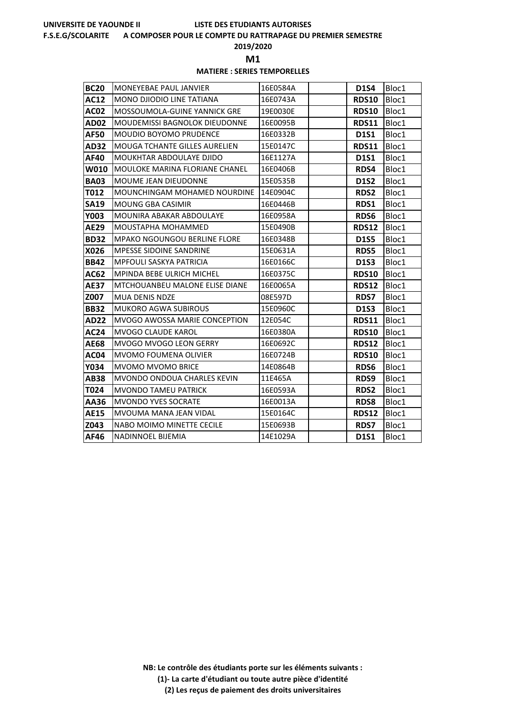#### **F.S.E.G/SCOLARITE A COMPOSER POUR LE COMPTE DU RATTRAPAGE DU PREMIER SEMESTRE**

## **2019/2020**

**M1** 

## **MATIERE : SERIES TEMPORELLES**

| <b>BC20</b> | <b>MONEYEBAE PAUL JANVIER</b>         | 16E0584A | <b>D1S4</b>  | Bloc1 |
|-------------|---------------------------------------|----------|--------------|-------|
| <b>AC12</b> | <b>MONO DJIODIO LINE TATIANA</b>      | 16E0743A | <b>RDS10</b> | Bloc1 |
| <b>AC02</b> | MOSSOUMOLA-GUINE YANNICK GRE          | 19E0030E | <b>RDS10</b> | Bloc1 |
| <b>AD02</b> | MOUDEMISSI BAGNOLOK DIEUDONNE         | 16E0095B | <b>RDS11</b> | Bloc1 |
| <b>AF50</b> | <b>MOUDIO BOYOMO PRUDENCE</b>         | 16E0332B | <b>D1S1</b>  | Bloc1 |
| <b>AD32</b> | <b>MOUGA TCHANTE GILLES AURELIEN</b>  | 15E0147C | <b>RDS11</b> | Bloc1 |
| AF40        | MOUKHTAR ABDOULAYE DJIDO              | 16E1127A | <b>D1S1</b>  | Bloc1 |
| <b>W010</b> | MOULOKE MARINA FLORIANE CHANEL        | 16E0406B | RDS4         | Bloc1 |
| <b>BA03</b> | MOUME JEAN DIEUDONNE                  | 15E0535B | <b>D1S2</b>  | Bloc1 |
| T012        | MOUNCHINGAM MOHAMED NOURDINE          | 14E0904C | RDS2         | Bloc1 |
| <b>SA19</b> | <b>MOUNG GBA CASIMIR</b>              | 16E0446B | RDS1         | Bloc1 |
| <b>Y003</b> | MOUNIRA ABAKAR ABDOULAYE              | 16E0958A | <b>RDS6</b>  | Bloc1 |
| <b>AE29</b> | MOUSTAPHA MOHAMMED                    | 15E0490B | <b>RDS12</b> | Bloc1 |
| <b>BD32</b> | <b>MPAKO NGOUNGOU BERLINE FLORE</b>   | 16E0348B | <b>D1S5</b>  | Bloc1 |
| X026        | MPESSE SIDOINE SANDRINE               | 15E0631A | <b>RDS5</b>  | Bloc1 |
| <b>BB42</b> | <b>MPFOULI SASKYA PATRICIA</b>        | 16E0166C | <b>D1S3</b>  | Bloc1 |
| AC62        | MPINDA BEBE ULRICH MICHEL             | 16E0375C | <b>RDS10</b> | Bloc1 |
| <b>AE37</b> | <b>MTCHOUANBEU MALONE ELISE DIANE</b> | 16E0065A | <b>RDS12</b> | Bloc1 |
| Z007        | <b>MUA DENIS NDZE</b>                 | 08E597D  | <b>RDS7</b>  | Bloc1 |
| <b>BB32</b> | <b>MUKORO AGWA SUBIROUS</b>           | 15E0960C | <b>D1S3</b>  | Bloc1 |
| <b>AD22</b> | <b>MVOGO AWOSSA MARIE CONCEPTION</b>  | 12E054C  | <b>RDS11</b> | Bloc1 |
| <b>AC24</b> | <b>MVOGO CLAUDE KAROL</b>             | 16E0380A | <b>RDS10</b> | Bloc1 |
| <b>AE68</b> | MVOGO MVOGO LEON GERRY                | 16E0692C | <b>RDS12</b> | Bloc1 |
| <b>AC04</b> | MVOMO FOUMENA OLIVIER                 | 16E0724B | <b>RDS10</b> | Bloc1 |
| Y034        | <b>MVOMO MVOMO BRICE</b>              | 14E0864B | RDS6         | Bloc1 |
| AB38        | MVONDO ONDOUA CHARLES KEVIN           | 11E465A  | RDS9         | Bloc1 |
| T024        | <b>MVONDO TAMEU PATRICK</b>           | 16E0593A | <b>RDS2</b>  | Bloc1 |
| AA36        | <b>MVONDO YVES SOCRATE</b>            | 16E0013A | <b>RDS8</b>  | Bloc1 |
| <b>AE15</b> | MVOUMA MANA JEAN VIDAL                | 15E0164C | <b>RDS12</b> | Bloc1 |
| Z043        | NABO MOIMO MINETTE CECILE             | 15E0693B | <b>RDS7</b>  | Bloc1 |
| AF46        | <b>NADINNOEL BIJEMIA</b>              | 14E1029A | <b>D1S1</b>  | Bloc1 |

**NB: Le contrôle des étudiants porte sur les éléments suivants :**

**(1)- La carte d'étudiant ou toute autre pièce d'identité**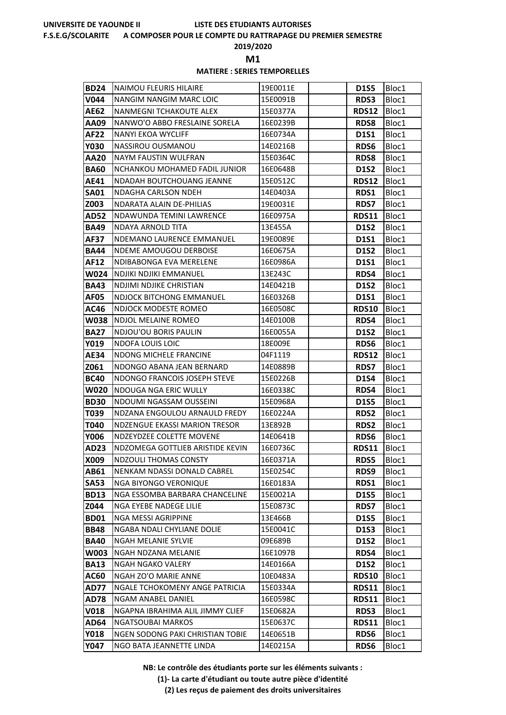#### **F.S.E.G/SCOLARITE A COMPOSER POUR LE COMPTE DU RATTRAPAGE DU PREMIER SEMESTRE**

## **2019/2020**

**M1** 

## **MATIERE : SERIES TEMPORELLES**

| <b>BD24</b>         | <b>NAIMOU FLEURIS HILAIRE</b>                | 19E0011E             | <b>D1S5</b>                | Bloc1          |
|---------------------|----------------------------------------------|----------------------|----------------------------|----------------|
| V044                | <b>NANGIM NANGIM MARC LOIC</b>               | 15E0091B             | RDS3                       | Bloc1          |
| <b>AE62</b>         | NANMEGNI TCHAKOUTE ALEX                      | 15E0377A             | <b>RDS12</b>               | Bloc1          |
| AA09                | NANWO'O ABBO FRESLAINE SORELA                | 16E0239B             | <b>RDS8</b>                | Bloc1          |
| AF22                | NANYI EKOA WYCLIFF                           | 16E0734A             | <b>D1S1</b>                | Bloc1          |
| <b>Y030</b>         | NASSIROU OUSMANOU                            | 14E0216B             | RDS6                       | Bloc1          |
| AA20                | NAYM FAUSTIN WULFRAN                         | 15E0364C             | <b>RDS8</b>                | Bloc1          |
| <b>BA60</b>         | NCHANKOU MOHAMED FADIL JUNIOR                | 16E0648B             | <b>D1S2</b>                | Bloc1          |
| AE41                | <b>NDADAH BOUTCHOUANG JEANNE</b>             | 15E0512C             | <b>RDS12</b>               | Bloc1          |
| <b>SA01</b>         | NDAGHA CARLSON NDEH                          | 14E0403A             | RDS1                       | Bloc1          |
| Z003                | NDARATA ALAIN DE-PHILIAS                     | 19E0031E             | <b>RDS7</b>                | Bloc1          |
| AD52                | NDAWUNDA TEMINI LAWRENCE                     | 16E0975A             | <b>RDS11</b>               | Bloc1          |
| <b>BA49</b>         | NDAYA ARNOLD TITA                            | 13E455A              | <b>D1S2</b>                | Bloc1          |
| AF37                | NDEMANO LAURENCE EMMANUEL                    | 19E0089E             | <b>D1S1</b>                | Bloc1          |
| <b>BA44</b>         | NDEME AMOUGOU DERBOISE                       | 16E0675A             | <b>D1S2</b>                | Bloc1          |
| AF12                | NDIBABONGA EVA MERELENE                      | 16E0986A             | <b>D1S1</b>                | Bloc1          |
| <b>W024</b>         | NDJIKI NDJIKI EMMANUEL                       | 13E243C              | RDS4                       | Bloc1          |
| <b>BA43</b>         | NDJIMI NDJIKE CHRISTIAN                      | 14E0421B             | <b>D1S2</b>                | Bloc1          |
| AF05                | NDJOCK BITCHONG EMMANUEL                     | 16E0326B             | <b>D1S1</b>                | Bloc1          |
| AC46                | NDJOCK MODESTE ROMEO                         | 16E0508C             | <b>RDS10</b>               | Bloc1          |
| W038                | NDJOL MELAINE ROMEO<br>NDJOU'OU BORIS PAULIN | 14E0100B<br>16E0055A | <b>RDS4</b>                | Bloc1          |
| <b>BA27</b><br>Y019 | <b>NDOFA LOUIS LOIC</b>                      | 18E009E              | <b>D1S2</b><br><b>RDS6</b> | Bloc1<br>Bloc1 |
| <b>AE34</b>         | NDONG MICHELE FRANCINE                       | 04F1119              | <b>RDS12</b>               | Bloc1          |
| Z061                | NDONGO ABANA JEAN BERNARD                    | 14E0889B             | <b>RDS7</b>                | Bloc1          |
| <b>BC40</b>         | NDONGO FRANCOIS JOSEPH STEVE                 | 15E0226B             | <b>D1S4</b>                | Bloc1          |
| W020                | NDOUGA NGA ERIC WULLY                        | 16E0338C             | RDS4                       | Bloc1          |
| <b>BD30</b>         | NDOUMI NGASSAM OUSSEINI                      | 15E0968A             | <b>D1S5</b>                | Bloc1          |
| T039                | NDZANA ENGOULOU ARNAULD FREDY                | 16E0224A             | <b>RDS2</b>                | Bloc1          |
| T040                | NDZENGUE EKASSI MARION TRESOR                | 13E892B              | <b>RDS2</b>                | Bloc1          |
| <b>Y006</b>         | NDZEYDZEE COLETTE MOVENE                     | 14E0641B             | <b>RDS6</b>                | Bloc1          |
| AD23                | NDZOMEGA GOTTLIEB ARISTIDE KEVIN             | 16E0736C             | <b>RDS11</b>               | Bloc1          |
| <b>X009</b>         | NDZOULI THOMAS CONSTY                        | 16E0371A             | <b>RDS5</b>                | Bloc1          |
| AB61                | NENKAM NDASSI DONALD CABREL                  | 15E0254C             | RDS9                       | Bloc1          |
| <b>SA53</b>         | <b>NGA BIYONGO VERONIQUE</b>                 | 16E0183A             | RDS1                       | Bloc1          |
| <b>BD13</b>         | NGA ESSOMBA BARBARA CHANCELINE               | 15E0021A             | <b>D1S5</b>                | Bloc1          |
| Z044                | NGA EYEBE NADEGE LILIE                       | 15E0873C             | <b>RDS7</b>                | Bloc1          |
| <b>BD01</b>         | NGA MESSI AGRIPPINE                          | 13E466B              | <b>D1S5</b>                | Bloc1          |
| <b>BB48</b>         | NGABA NDALI CHYLIANE DOLIE                   | 15E0041C             | <b>D1S3</b>                | Bloc1          |
| <b>BA40</b>         | NGAH MELANIE SYLVIE                          | 09E689B              | D1S2                       | Bloc1          |
| W003                | NGAH NDZANA MELANIE                          | 16E1097B             | RDS4                       | Bloc1          |
| <b>BA13</b>         | NGAH NGAKO VALERY                            | 14E0166A             | <b>D1S2</b>                | Bloc1          |
| AC60                | NGAH ZO'O MARIE ANNE                         | 10E0483A             | <b>RDS10</b>               | Bloc1          |
| AD77                | NGALE TCHOKOMENY ANGE PATRICIA               | 15E0334A             | <b>RDS11</b>               | Bloc1          |
| <b>AD78</b>         | NGAM ANABEL DANIEL                           | 16E0598C             | <b>RDS11</b>               | Bloc1          |
| <b>V018</b>         | NGAPNA IBRAHIMA ALIL JIMMY CLIEF             | 15E0682A             | RDS3                       | Bloc1          |
| AD64                | <b>NGATSOUBAI MARKOS</b>                     | 15E0637C             | <b>RDS11</b>               | Bloc1          |
| Y018                | NGEN SODONG PAKI CHRISTIAN TOBIE             | 14E0651B             | <b>RDS6</b>                | Bloc1          |
| <b>Y047</b>         | NGO BATA JEANNETTE LINDA                     | 14E0215A             | RDS6                       | Bloc1          |

**NB: Le contrôle des étudiants porte sur les éléments suivants :**

**(1)- La carte d'étudiant ou toute autre pièce d'identité**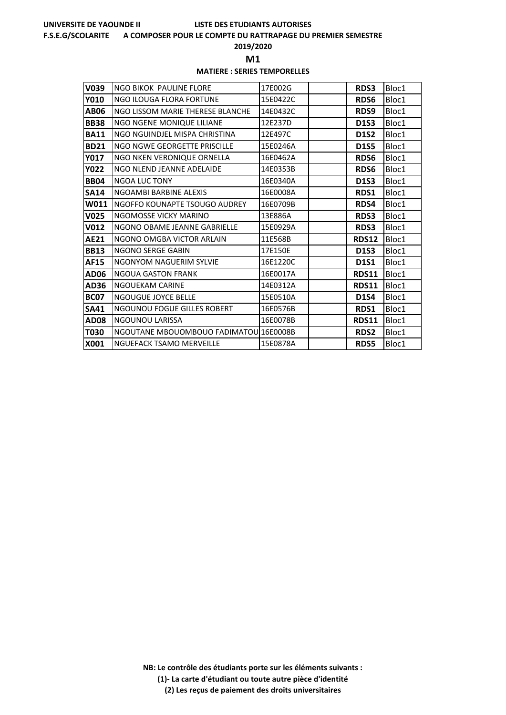#### **F.S.E.G/SCOLARITE A COMPOSER POUR LE COMPTE DU RATTRAPAGE DU PREMIER SEMESTRE**

## **2019/2020**

**M1** 

## **MATIERE : SERIES TEMPORELLES**

| V039             | <b>NGO BIKOK PAULINE FLORE</b>         | 17E002G  | <b>RDS3</b>  | Bloc1 |
|------------------|----------------------------------------|----------|--------------|-------|
| Y010             | NGO ILOUGA FLORA FORTUNE               | 15E0422C | RDS6         | Bloc1 |
| <b>AB06</b>      | NGO LISSOM MARIE THERESE BLANCHE       | 14E0432C | RDS9         | Bloc1 |
| <b>BB38</b>      | NGO NGENE MONIQUE LILIANE              | 12E237D  | <b>D1S3</b>  | Bloc1 |
| <b>BA11</b>      | NGO NGUINDJEL MISPA CHRISTINA          | 12E497C  | <b>D1S2</b>  | Bloc1 |
| <b>BD21</b>      | NGO NGWE GEORGETTE PRISCILLE           | 15E0246A | <b>D1S5</b>  | Bloc1 |
| <b>Y017</b>      | NGO NKEN VERONIQUE ORNELLA             | 16E0462A | RDS6         | Bloc1 |
| <b>Y022</b>      | NGO NLEND JEANNE ADELAIDE              | 14E0353B | RDS6         | Bloc1 |
| <b>BB04</b>      | <b>NGOA LUC TONY</b>                   | 16E0340A | <b>D1S3</b>  | Bloc1 |
| <b>SA14</b>      | NGOAMBI BARBINE ALEXIS                 | 16E0008A | RDS1         | Bloc1 |
| W011             | NGOFFO KOUNAPTE TSOUGO AUDREY          | 16E0709B | RDS4         | Bloc1 |
| V <sub>025</sub> | NGOMOSSE VICKY MARINO                  | 13E886A  | RDS3         | Bloc1 |
| V012             | NGONO OBAME JEANNE GABRIELLE           | 15E0929A | RDS3         | Bloc1 |
| <b>AE21</b>      | NGONO OMGBA VICTOR ARLAIN              | 11E568B  | <b>RDS12</b> | Bloc1 |
| <b>BB13</b>      | NGONO SERGE GABIN                      | 17E150E  | <b>D1S3</b>  | Bloc1 |
| <b>AF15</b>      | NGONYOM NAGUERIM SYLVIE                | 16E1220C | <b>D1S1</b>  | Bloc1 |
| AD06             | <b>NGOUA GASTON FRANK</b>              | 16E0017A | <b>RDS11</b> | Bloc1 |
| AD36             | NGOUEKAM CARINE                        | 14E0312A | <b>RDS11</b> | Bloc1 |
| <b>BC07</b>      | <b>NGOUGUE JOYCE BELLE</b>             | 15E0510A | <b>D1S4</b>  | Bloc1 |
| <b>SA41</b>      | <b>NGOUNOU FOGUE GILLES ROBERT</b>     | 16E0576B | RDS1         | Bloc1 |
| <b>AD08</b>      | NGOUNOU LARISSA                        | 16E0078B | <b>RDS11</b> | Bloc1 |
| T030             | NGOUTANE MBOUOMBOUO FADIMATOU 16E0008B |          | <b>RDS2</b>  | Bloc1 |
| X001             | <b>NGUEFACK TSAMO MERVEILLE</b>        | 15E0878A | <b>RDS5</b>  | Bloc1 |

**NB: Le contrôle des étudiants porte sur les éléments suivants : (1)- La carte d'étudiant ou toute autre pièce d'identité**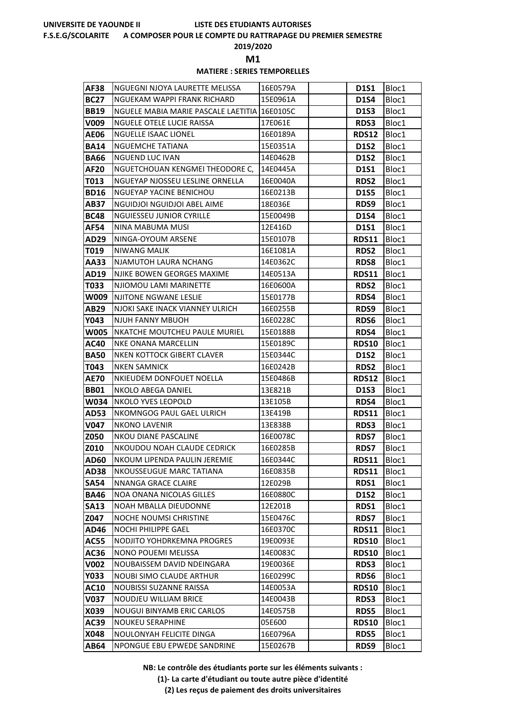#### **F.S.E.G/SCOLARITE A COMPOSER POUR LE COMPTE DU RATTRAPAGE DU PREMIER SEMESTRE**

**2019/2020**

**M1** 

## **MATIERE : SERIES TEMPORELLES**

| AF38                | NGUEGNI NJOYA LAURETTE MELISSA                              | 16E0579A             | <b>D1S1</b>                 | Bloc1          |
|---------------------|-------------------------------------------------------------|----------------------|-----------------------------|----------------|
| <b>BC27</b>         | NGUEKAM WAPPI FRANK RICHARD                                 | 15E0961A             | <b>D1S4</b>                 | Bloc1          |
| <b>BB19</b>         | NGUELE MABIA MARIE PASCALE LAETITIA 116E0105C               |                      | <b>D1S3</b>                 | Bloc1          |
| V009                | NGUELE OTELE LUCIE RAISSA                                   | 17E061E              | <b>RDS3</b>                 | Bloc1          |
| <b>AE06</b>         | <b>NGUELLE ISAAC LIONEL</b>                                 | 16E0189A             | <b>RDS12</b>                | Bloc1          |
| <b>BA14</b>         | NGUEMCHE TATIANA                                            | 15E0351A             | <b>D1S2</b>                 | Bloc1          |
| <b>BA66</b>         | <b>NGUEND LUC IVAN</b>                                      | 14E0462B             | <b>D1S2</b>                 | Bloc1          |
| AF20                | NGUETCHOUAN KENGMEI THEODORE C,                             | 14E0445A             | <b>D1S1</b>                 | Bloc1          |
| T013                | NGUEYAP NJOSSEU LESLINE ORNELLA                             | 16E0040A             | <b>RDS2</b>                 | Bloc1          |
| <b>BD16</b>         | NGUEYAP YACINE BENICHOU                                     | 16E0213B             | <b>D1S5</b>                 | Bloc1          |
| <b>AB37</b>         | NGUIDJOI NGUIDJOI ABEL AIME                                 | 18E036E              | RDS9                        | Bloc1          |
| <b>BC48</b>         | <b>NGUIESSEU JUNIOR CYRILLE</b>                             | 15E0049B             | <b>D1S4</b>                 | Bloc1          |
| <b>AF54</b>         | NINA MABUMA MUSI                                            | 12E416D              | <b>D1S1</b>                 | Bloc1          |
| AD29                | NINGA-OYOUM ARSENE                                          | 15E0107B             | <b>RDS11</b>                | Bloc1          |
| T019                | <b>NIWANG MALIK</b>                                         | 16E1081A             | RDS2                        | Bloc1          |
| AA33                | NJAMUTOH LAURA NCHANG                                       | 14E0362C             | <b>RDS8</b>                 | Bloc1          |
| AD19                | NJIKE BOWEN GEORGES MAXIME                                  | 14E0513A             | <b>RDS11</b>                | Bloc1          |
| T033                | NJIOMOU LAMI MARINETTE                                      | 16E0600A             | <b>RDS2</b>                 | Bloc1          |
| W009                | NJITONE NGWANE LESLIE                                       | 15E0177B             | RDS4                        | Bloc1          |
| AB29                | NJOKI SAKE INACK VIANNEY ULRICH                             | 16E0255B             | RDS9                        | Bloc1          |
| Y043                | NJUH FANNY MBUOH                                            | 16E0228C             | <b>RDS6</b>                 | Bloc1          |
| <b>W005</b>         | NKATCHE MOUTCHEU PAULE MURIEL                               | 15E0188B             | RDS4                        | Bloc1          |
| AC40                | NKE ONANA MARCELLIN                                         | 15E0189C             | <b>RDS10</b>                | Bloc1          |
| <b>BA50</b>         | NKEN KOTTOCK GIBERT CLAVER                                  | 15E0344C             | <b>D1S2</b>                 | Bloc1          |
| T043                | NKEN SAMNICK                                                | 16E0242B             | <b>RDS2</b>                 | Bloc1          |
| AE70                | NKIEUDEM DONFOUET NOELLA                                    | 15E0486B             | <b>RDS12</b>                | Bloc1          |
| <b>BB01</b>         | NKOLO ABEGA DANIEL                                          | 13E821B              | <b>D1S3</b>                 | Bloc1          |
| <b>W034</b>         | NKOLO YVES LEOPOLD                                          | 13E105B              | <b>RDS4</b>                 | Bloc1          |
| AD53                | NKOMNGOG PAUL GAEL ULRICH                                   | 13E419B              | <b>RDS11</b>                | Bloc1          |
| V047                | <b>NKONO LAVENIR</b>                                        | 13E838B              | <b>RDS3</b>                 | Bloc1          |
| Z050                | NKOU DIANE PASCALINE                                        | 16E0078C             | <b>RDS7</b>                 | Bloc1          |
| Z010                | NKOUDOU NOAH CLAUDE CEDRICK<br>NKOUM LIPENDA PAULIN JEREMIE | 16E0285B<br>16E0344C | <b>RDS7</b>                 | Bloc1          |
| <b>AD60</b>         | NKOUSSEUGUE MARC TATIANA                                    | 16E0835B             | <b>RDS11</b>                | Bloc1          |
| AD38<br><b>SA54</b> | NNANGA GRACE CLAIRE                                         | 12E029B              | <b>RDS11</b><br>RDS1        | Bloc1<br>Bloc1 |
| <b>BA46</b>         | NOA ONANA NICOLAS GILLES                                    | 16E0880C             | <b>D1S2</b>                 | Bloc1          |
| <b>SA13</b>         | NOAH MBALLA DIEUDONNE                                       | 12E201B              | RDS1                        | Bloc1          |
| Z047                | NOCHE NOUMSI CHRISTINE                                      | 15E0476C             | <b>RDS7</b>                 | Bloc1          |
| AD46                | NOCHI PHILIPPE GAEL                                         | 16E0370C             | <b>RDS11</b>                | Bloc1          |
| AC55                | NODJITO YOHDRKEMNA PROGRES                                  | 19E0093E             | <b>RDS10</b>                | Bloc1          |
| AC36                | <b>NONO POUEMI MELISSA</b>                                  | 14E0083C             | <b>RDS10</b>                | Bloc1          |
| V002                | NOUBAISSEM DAVID NDEINGARA                                  | 19E0036E             | <b>RDS3</b>                 | Bloc1          |
| Y033                | <b>NOUBI SIMO CLAUDE ARTHUR</b>                             | 16E0299C             | RDS6                        | Bloc1          |
|                     | <b>NOUBISSI SUZANNE RAISSA</b>                              | 14E0053A             | <b>RDS10</b>                | Bloc1          |
|                     |                                                             |                      |                             |                |
| AC10<br>V037        | <b>NOUDJEU WILLIAM BRICE</b>                                | 14E0043B             | <b>RDS3</b>                 |                |
| X039                | <b>NOUGUI BINYAMB ERIC CARLOS</b>                           | 14E0575B             |                             | Bloc1          |
| AC39                | <b>NOUKEU SERAPHINE</b>                                     | 05E600               | <b>RDS5</b><br><b>RDS10</b> | Bloc1<br>Bloc1 |
| X048                | NOULONYAH FELICITE DINGA                                    | 16E0796A             | <b>RDS5</b>                 | Bloc1          |

**NB: Le contrôle des étudiants porte sur les éléments suivants :**

**(1)- La carte d'étudiant ou toute autre pièce d'identité**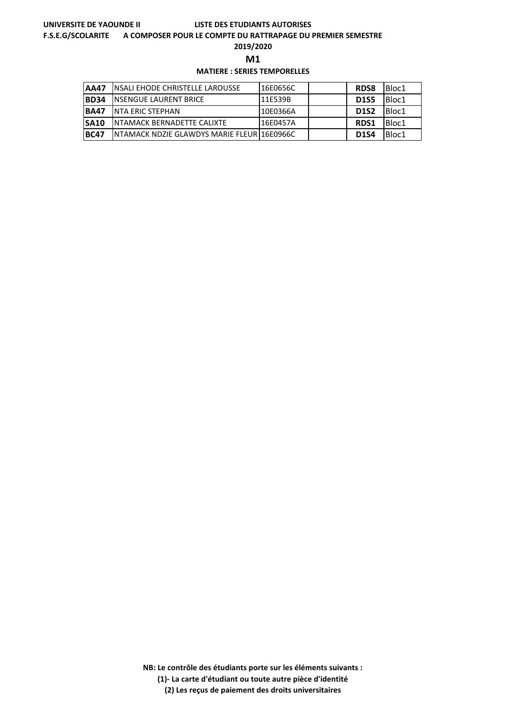#### **F.S.E.G/SCOLARITE A COMPOSER POUR LE COMPTE DU RATTRAPAGE DU PREMIER SEMESTRE**

**2019/2020**

**M1** 

## **MATIERE : SERIES TEMPORELLES**

| <b>AA47</b> | <b>INSALI EHODE CHRISTELLE LAROUSSE</b>     | 16E0656C  | <b>RDS8</b> | Bloc1 |
|-------------|---------------------------------------------|-----------|-------------|-------|
| <b>BD34</b> | <b>INSENGUE LAURENT BRICE</b>               | I11E539B  | <b>D1S5</b> | Bloc1 |
| <b>BA47</b> | INTA ERIC STEPHAN                           | I10E0366A | <b>D1S2</b> | Bloc1 |
| <b>SA10</b> | <b>INTAMACK BERNADETTE CALIXTE</b>          | I16E0457A | <b>RDS1</b> | Bloc1 |
| IBC47       | INTAMACK NDZIE GLAWDYS MARIE FLEUR 16E0966C |           | <b>D1S4</b> | Bloc1 |

**NB: Le contrôle des étudiants porte sur les éléments suivants :**

**(1)- La carte d'étudiant ou toute autre pièce d'identité**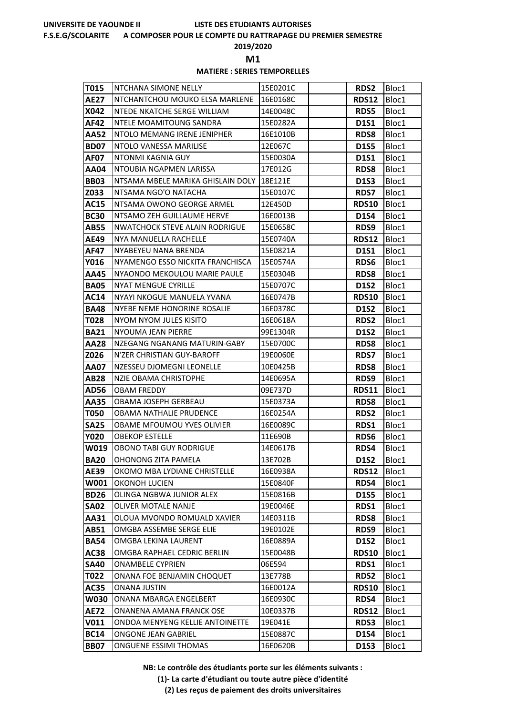#### **F.S.E.G/SCOLARITE A COMPOSER POUR LE COMPTE DU RATTRAPAGE DU PREMIER SEMESTRE**

**2019/2020**

**M1** 

## **MATIERE : SERIES TEMPORELLES**

| T015         | NTCHANA SIMONE NELLY                        | 15E0201C             | <b>RDS2</b>          | Bloc1          |
|--------------|---------------------------------------------|----------------------|----------------------|----------------|
| <b>AE27</b>  | NTCHANTCHOU MOUKO ELSA MARLENE              | 16E0168C             | <b>RDS12</b>         | Bloc1          |
| X042         | NTEDE NKATCHE SERGE WILLIAM                 | 14E0048C             | <b>RDS5</b>          | Bloc1          |
| AF42         | NTELE MOAMITOUNG SANDRA                     | 15E0282A             | <b>D1S1</b>          | Bloc1          |
| AA52         | NTOLO MEMANG IRENE JENIPHER                 | 16E1010B             | <b>RDS8</b>          | Bloc1          |
| <b>BD07</b>  | NTOLO VANESSA MARILISE                      | 12E067C              | <b>D1S5</b>          | Bloc1          |
| AF07         | NTONMI KAGNIA GUY                           | 15E0030A             | <b>D1S1</b>          | Bloc1          |
| AA04         | NTOUBIA NGAPMEN LARISSA                     | 17E012G              | <b>RDS8</b>          | Bloc1          |
| <b>BB03</b>  | NTSAMA MBELE MARIKA GHISLAIN DOLY 18E121E   |                      | <b>D1S3</b>          | Bloc1          |
| Z033         | NTSAMA NGO'O NATACHA                        | 15E0107C             | <b>RDS7</b>          | Bloc1          |
| <b>AC15</b>  | NTSAMA OWONO GEORGE ARMEL                   | 12E450D              | <b>RDS10</b>         | Bloc1          |
| <b>BC30</b>  | NTSAMO ZEH GUILLAUME HERVE                  | 16E0013B             | <b>D1S4</b>          | Bloc1          |
| <b>AB55</b>  | <b>NWATCHOCK STEVE ALAIN RODRIGUE</b>       | 15E0658C             | RDS9                 | Bloc1          |
| AE49         | NYA MANUELLA RACHELLE                       | 15E0740A             | <b>RDS12</b>         | Bloc1          |
| AF47         | NYABEYEU NANA BRENDA                        | 15E0821A             | <b>D1S1</b>          | Bloc1          |
| Y016         | NYAMENGO ESSO NICKITA FRANCHISCA            | 15E0574A             | <b>RDS6</b>          | Bloc1          |
| AA45         | NYAONDO MEKOULOU MARIE PAULE                | 15E0304B             | <b>RDS8</b>          | Bloc1          |
| <b>BA05</b>  | NYAT MENGUE CYRILLE                         | 15E0707C             | <b>D1S2</b>          | Bloc1          |
| AC14         | NYAYI NKOGUE MANUELA YVANA                  | 16E0747B             | <b>RDS10</b>         | Bloc1          |
| <b>BA48</b>  | NYEBE NEME HONORINE ROSALIE                 | 16E0378C             | <b>D1S2</b>          | Bloc1          |
| T028         | NYOM NYOM JULES KISITO                      | 16E0618A             | <b>RDS2</b>          | Bloc1          |
| <b>BA21</b>  | NYOUMA JEAN PIERRE                          | 99E1304R             | <b>D1S2</b>          | Bloc1          |
| AA28         | NZEGANG NGANANG MATURIN-GABY                | 15E0700C             | <b>RDS8</b>          | Bloc1          |
| Z026         | N'ZER CHRISTIAN GUY-BAROFF                  | 19E0060E             | <b>RDS7</b>          | Bloc1          |
| AA07         | NZESSEU DJOMEGNI LEONELLE                   | 10E0425B<br>14E0695A | <b>RDS8</b>          | Bloc1          |
| AB28<br>AD56 | NZIE OBAMA CHRISTOPHE<br><b>OBAM FREDDY</b> | 09E737D              | RDS9<br><b>RDS11</b> | Bloc1<br>Bloc1 |
| AA35         | OBAMA JOSEPH GERBEAU                        | 15E0373A             | <b>RDS8</b>          | Bloc1          |
| <b>T050</b>  | OBAMA NATHALIE PRUDENCE                     | 16E0254A             | <b>RDS2</b>          | Bloc1          |
| <b>SA25</b>  | OBAME MFOUMOU YVES OLIVIER                  | 16E0089C             | RDS1                 | Bloc1          |
| <b>Y020</b>  | <b>OBEKOP ESTELLE</b>                       | 11E690B              | <b>RDS6</b>          | Bloc1          |
| W019         | <b>OBONO TABI GUY RODRIGUE</b>              | 14E0617B             | RDS4                 | Bloc1          |
| <b>BA20</b>  | OHONONG ZITA PAMELA                         | 13E702B              | D1S2                 | Bloc1          |
| AE39         | OKOMO MBA LYDIANE CHRISTELLE                | 16E0938A             | <b>RDS12</b>         | Bloc1          |
| W001         | OKONOH LUCIEN                               | 15E0840F             | RDS4                 | Bloc1          |
| <b>BD26</b>  | OLINGA NGBWA JUNIOR ALEX                    | 15E0816B             | <b>D1S5</b>          | Bloc1          |
| <b>SA02</b>  | OLIVER MOTALE NANJE                         | 19E0046E             | RDS1                 | Bloc1          |
| AA31         | OLOUA MVONDO ROMUALD XAVIER                 | 14E0311B             | RDS8                 | Bloc1          |
| AB51         | OMGBA ASSEMBE SERGE ELIE                    | 19E0102E             | RDS9                 | Bloc1          |
| <b>BA54</b>  | OMGBA LEKINA LAURENT                        | 16E0889A             | <b>D1S2</b>          | Bloc1          |
| <b>AC38</b>  | OMGBA RAPHAEL CEDRIC BERLIN                 | 15E0048B             | <b>RDS10</b>         | Bloc1          |
| <b>SA40</b>  | ONAMBELE CYPRIEN                            | 06E594               | RDS1                 | Bloc1          |
| T022         | ONANA FOE BENJAMIN CHOQUET                  | 13E778B              | <b>RDS2</b>          | Bloc1          |
| AC35         | ONANA JUSTIN                                | 16E0012A             | <b>RDS10</b>         | Bloc1          |
| W030         | ONANA MBARGA ENGELBERT                      | 16E0930C             | RDS4                 | Bloc1          |
| <b>AE72</b>  | ONANENA AMANA FRANCK OSE                    | 10E0337B             | <b>RDS12</b>         | Bloc1          |
| V011         | ONDOA MENYENG KELLIE ANTOINETTE             | 19E041E              | RDS3                 | Bloc1          |
| <b>BC14</b>  | ONGONE JEAN GABRIEL                         | 15E0887C             | D1S4                 | Bloc1          |
| <b>BB07</b>  | ONGUENE ESSIMI THOMAS                       | 16E0620B             | D1S3                 | Bloc1          |

**NB: Le contrôle des étudiants porte sur les éléments suivants :**

**(1)- La carte d'étudiant ou toute autre pièce d'identité**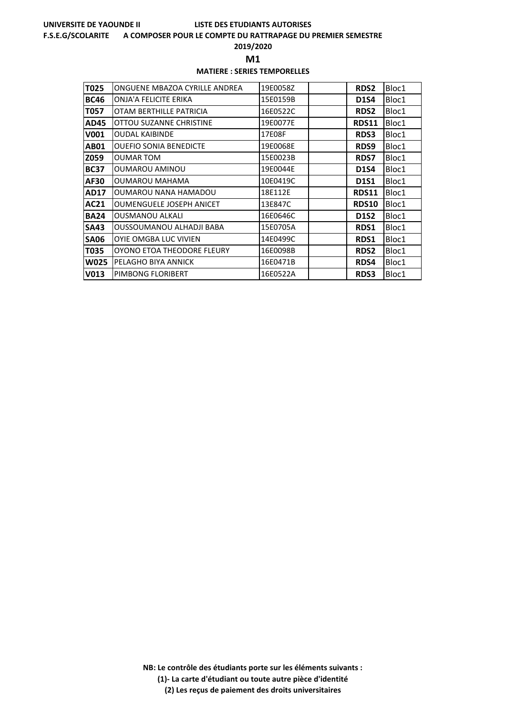#### **F.S.E.G/SCOLARITE A COMPOSER POUR LE COMPTE DU RATTRAPAGE DU PREMIER SEMESTRE**

**2019/2020**

**M1** 

## **MATIERE : SERIES TEMPORELLES**

| T025        | ONGUENE MBAZOA CYRILLE ANDREA   | 19E0058Z | <b>RDS2</b>  | Bloc1 |
|-------------|---------------------------------|----------|--------------|-------|
| <b>BC46</b> | ONJA'A FELICITE ERIKA           | 15E0159B | <b>D1S4</b>  | Bloc1 |
| T057        | OTAM BERTHILLE PATRICIA         | 16E0522C | <b>RDS2</b>  | Bloc1 |
| <b>AD45</b> | OTTOU SUZANNE CHRISTINE         | 19E0077E | RDS11        | Bloc1 |
| V001        | <b>OUDAL KAIBINDE</b>           | 17E08F   | <b>RDS3</b>  | Bloc1 |
| <b>AB01</b> | <b>OUEFIO SONIA BENEDICTE</b>   | 19E0068E | RDS9         | Bloc1 |
| Z059        | OUMAR TOM                       | 15E0023B | <b>RDS7</b>  | Bloc1 |
| <b>BC37</b> | OUMAROU AMINOU                  | 19E0044E | <b>D1S4</b>  | Bloc1 |
| AF30        | <b>OUMAROU MAHAMA</b>           | 10E0419C | D1S1         | Bloc1 |
| <b>AD17</b> | OUMAROU NANA HAMADOU            | 18E112E  | <b>RDS11</b> | Bloc1 |
| AC21        | <b>OUMENGUELE JOSEPH ANICET</b> | 13E847C  | <b>RDS10</b> | Bloc1 |
| <b>BA24</b> | <b>OUSMANOU ALKALI</b>          | 16E0646C | <b>D1S2</b>  | Bloc1 |
| <b>SA43</b> | OUSSOUMANOU ALHADJI BABA        | 15E0705A | <b>RDS1</b>  | Bloc1 |
| <b>SA06</b> | <b>OYIE OMGBA LUC VIVIEN</b>    | 14E0499C | <b>RDS1</b>  | Bloc1 |
| T035        | OYONO ETOA THEODORE FLEURY      | 16E0098B | <b>RDS2</b>  | Bloc1 |
| <b>W025</b> | PELAGHO BIYA ANNICK             | 16E0471B | <b>RDS4</b>  | Bloc1 |
| V013        | PIMBONG FLORIBERT               | 16E0522A | <b>RDS3</b>  | Bloc1 |

**NB: Le contrôle des étudiants porte sur les éléments suivants : (1)- La carte d'étudiant ou toute autre pièce d'identité**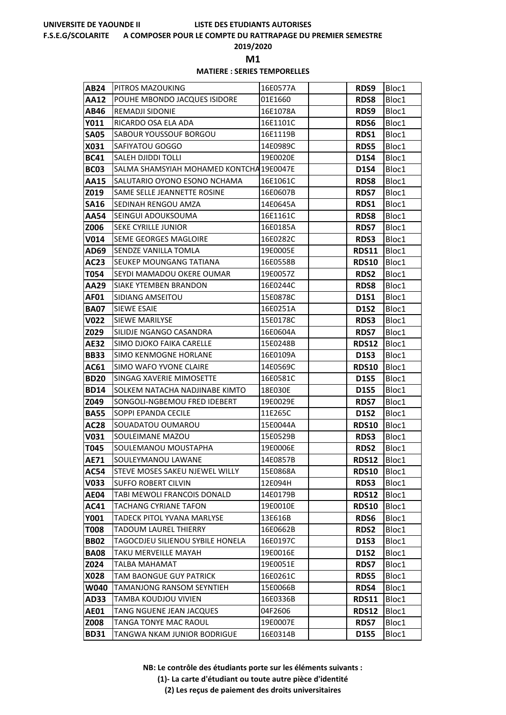#### **F.S.E.G/SCOLARITE A COMPOSER POUR LE COMPTE DU RATTRAPAGE DU PREMIER SEMESTRE**

**2019/2020**

**M1** 

## **MATIERE : SERIES TEMPORELLES**

| AB24        | PITROS MAZOUKING                        | 16E0577A | RDS9         | Bloc1 |
|-------------|-----------------------------------------|----------|--------------|-------|
| AA12        | POUHE MBONDO JACQUES ISIDORE            | 01E1660  | <b>RDS8</b>  | Bloc1 |
| AB46        | REMADJI SIDONIE                         | 16E1078A | RDS9         | Bloc1 |
| Y011        | RICARDO OSA ELA ADA                     | 16E1101C | <b>RDS6</b>  | Bloc1 |
| SA05        | SABOUR YOUSSOUF BORGOU                  | 16E1119B | RDS1         | Bloc1 |
| X031        | SAFIYATOU GOGGO                         | 14E0989C | <b>RDS5</b>  | Bloc1 |
| <b>BC41</b> | SALEH DJIDDI TOLLI                      | 19E0020E | <b>D1S4</b>  | Bloc1 |
| <b>BC03</b> | SALMA SHAMSYIAH MOHAMED KONTCHA19E0047E |          | <b>D1S4</b>  | Bloc1 |
| AA15        | SALUTARIO OYONO ESONO NCHAMA            | 16E1061C | <b>RDS8</b>  | Bloc1 |
| Z019        | SAME SELLE JEANNETTE ROSINE             | 16E0607B | <b>RDS7</b>  | Bloc1 |
| <b>SA16</b> | SEDINAH RENGOU AMZA                     | 14E0645A | <b>RDS1</b>  | Bloc1 |
| AA54        | SEINGUI ADOUKSOUMA                      | 16E1161C | <b>RDS8</b>  | Bloc1 |
| Z006        | SEKE CYRILLE JUNIOR                     | 16E0185A | <b>RDS7</b>  | Bloc1 |
| V014        | SEME GEORGES MAGLOIRE                   | 16E0282C | RDS3         | Bloc1 |
| AD69        | SENDZE VANILLA TOMLA                    | 19E0005E | <b>RDS11</b> | Bloc1 |
| AC23        | SEUKEP MOUNGANG TATIANA                 | 16E0558B | <b>RDS10</b> | Bloc1 |
| T054        | SEYDI MAMADOU OKERE OUMAR               | 19E0057Z | <b>RDS2</b>  | Bloc1 |
| AA29        | SIAKE YTEMBEN BRANDON                   | 16E0244C | <b>RDS8</b>  | Bloc1 |
| AF01        | SIDIANG AMSEITOU                        | 15E0878C | <b>D1S1</b>  | Bloc1 |
| <b>BA07</b> | <b>SIEWE ESAIE</b>                      | 16E0251A | <b>D1S2</b>  | Bloc1 |
| V022        | SIEWE MARILYSE                          | 15E0178C | <b>RDS3</b>  | Bloc1 |
| Z029        | SILIDJE NGANGO CASANDRA                 | 16E0604A | <b>RDS7</b>  | Bloc1 |
| AE32        | SIMO DJOKO FAIKA CARELLE                | 15E0248B | <b>RDS12</b> | Bloc1 |
| <b>BB33</b> | SIMO KENMOGNE HORLANE                   | 16E0109A | <b>D1S3</b>  | Bloc1 |
| AC61        | SIMO WAFO YVONE CLAIRE                  | 14E0569C | <b>RDS10</b> | Bloc1 |
| <b>BD20</b> | SINGAG XAVERIE MIMOSETTE                | 16E0581C | <b>D1S5</b>  | Bloc1 |
| <b>BD14</b> | SOLKEM NATACHA NADJINABE KIMTO          | 18E030E  | <b>D1S5</b>  | Bloc1 |
| Z049        | SONGOLI-NGBEMOU FRED IDEBERT            | 19E0029E | <b>RDS7</b>  | Bloc1 |
| <b>BA55</b> | SOPPI EPANDA CECILE                     | 11E265C  | <b>D1S2</b>  | Bloc1 |
| AC28        | SOUADATOU OUMAROU                       | 15E0044A | <b>RDS10</b> | Bloc1 |
| V031        | SOULEIMANE MAZOU                        | 15E0529B | <b>RDS3</b>  | Bloc1 |
| T045        | SOULEMANOU MOUSTAPHA                    | 19E0006E | <b>RDS2</b>  | Bloc1 |
| <b>AE71</b> | SOULEYMANOU LAWANE                      | 14E0857B | <b>RDS12</b> | Bloc1 |
| AC54        | STEVE MOSES SAKEU NJEWEL WILLY          | 15E0868A | <b>RDS10</b> | Bloc1 |
| V033        | <b>SUFFO ROBERT CILVIN</b>              | 12E094H  | <b>RDS3</b>  | Bloc1 |
| AE04        | TABI MEWOLI FRANCOIS DONALD             | 14E0179B | <b>RDS12</b> | Bloc1 |
| AC41        | <b>TACHANG CYRIANE TAFON</b>            | 19E0010E | <b>RDS10</b> | Bloc1 |
| Y001        | TADECK PITOL YVANA MARLYSE              | 13E616B  | <b>RDS6</b>  | Bloc1 |
| T008        | <b>TADOUM LAUREL THIERRY</b>            | 16E0662B | RDS2         | Bloc1 |
| <b>BB02</b> | TAGOCDJEU SILIENOU SYBILE HONELA        | 16E0197C | D1S3         | Bloc1 |
| <b>BA08</b> | TAKU MERVEILLE MAYAH                    | 19E0016E | <b>D1S2</b>  | Bloc1 |
| Z024        | TALBA MAHAMAT                           | 19E0051E | <b>RDS7</b>  | Bloc1 |
| X028        | TAM BAONGUE GUY PATRICK                 | 16E0261C | <b>RDS5</b>  | Bloc1 |
| W040        | TAMANJONG RANSOM SEYNTIEH               | 15E0066B | RDS4         | Bloc1 |
| AD33        | TAMBA KOUDJOU VIVIEN                    | 16E0336B | <b>RDS11</b> | Bloc1 |
| <b>AE01</b> | TANG NGUENE JEAN JACQUES                | 04F2606  | <b>RDS12</b> | Bloc1 |
| Z008        | TANGA TONYE MAC RAOUL                   | 19E0007E | <b>RDS7</b>  | Bloc1 |
| <b>BD31</b> | TANGWA NKAM JUNIOR BODRIGUE             | 16E0314B | <b>D1S5</b>  | Bloc1 |

**NB: Le contrôle des étudiants porte sur les éléments suivants :**

**(1)- La carte d'étudiant ou toute autre pièce d'identité**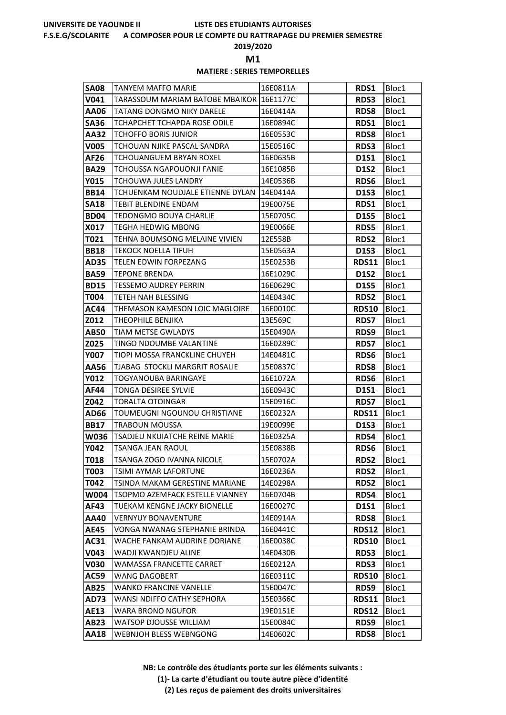#### **F.S.E.G/SCOLARITE A COMPOSER POUR LE COMPTE DU RATTRAPAGE DU PREMIER SEMESTRE**

**2019/2020**

**M1** 

## **MATIERE : SERIES TEMPORELLES**

| <b>SA08</b> | TANYEM MAFFO MARIE                          | 16E0811A | RDS1         | Bloc1 |
|-------------|---------------------------------------------|----------|--------------|-------|
| V041        | TARASSOUM MARIAM BATOBE MBAIKOR 16E1177C    |          | <b>RDS3</b>  | Bloc1 |
| AA06        | <b>TATANG DONGMO NIKY DARELE</b>            | 16E0414A | <b>RDS8</b>  | Bloc1 |
| <b>SA36</b> | TCHAPCHET TCHAPDA ROSE ODILE                | 16E0894C | RDS1         | Bloc1 |
| AA32        | <b>TCHOFFO BORIS JUNIOR</b>                 | 16E0553C | <b>RDS8</b>  | Bloc1 |
| <b>V005</b> | TCHOUAN NJIKE PASCAL SANDRA                 | 15E0516C | RDS3         | Bloc1 |
| AF26        | TCHOUANGUEM BRYAN ROXEL                     | 16E0635B | <b>D1S1</b>  | Bloc1 |
| <b>BA29</b> | TCHOUSSA NGAPOUONJI FANIE                   | 16E1085B | <b>D1S2</b>  | Bloc1 |
| Y015        | TCHOUWA JULES LANDRY                        | 14E0536B | <b>RDS6</b>  | Bloc1 |
| <b>BB14</b> | TCHUENKAM NOUDJALE ETIENNE DYLAN   14E0414A |          | <b>D1S3</b>  | Bloc1 |
| <b>SA18</b> | TEBIT BLENDINE ENDAM                        | 19E0075E | <b>RDS1</b>  | Bloc1 |
| <b>BD04</b> | TEDONGMO BOUYA CHARLIE                      | 15E0705C | <b>D1S5</b>  | Bloc1 |
| X017        | <b>TEGHA HEDWIG MBONG</b>                   | 19E0066E | <b>RDS5</b>  | Bloc1 |
| T021        | TEHNA BOUMSONG MELAINE VIVIEN               | 12E558B  | <b>RDS2</b>  | Bloc1 |
| <b>BB18</b> | TEKOCK NOELLA TIFUH                         | 15E0563A | D1S3         | Bloc1 |
| AD35        | <b>TELEN EDWIN FORPEZANG</b>                | 15E0253B | <b>RDS11</b> | Bloc1 |
| <b>BA59</b> | <b>TEPONE BRENDA</b>                        | 16E1029C | <b>D1S2</b>  | Bloc1 |
| <b>BD15</b> | TESSEMO AUDREY PERRIN                       | 16E0629C | <b>D1S5</b>  | Bloc1 |
| T004        | TETEH NAH BLESSING                          | 14E0434C | <b>RDS2</b>  | Bloc1 |
| AC44        | THEMASON KAMESON LOIC MAGLOIRE              | 16E0010C | <b>RDS10</b> | Bloc1 |
| Z012        | THEOPHILE BENJIKA                           | 13E569C  | <b>RDS7</b>  | Bloc1 |
| AB50        | TIAM METSE GWLADYS                          | 15E0490A | RDS9         | Bloc1 |
| Z025        | TINGO NDOUMBE VALANTINE                     | 16E0289C | <b>RDS7</b>  | Bloc1 |
| Y007        | TIOPI MOSSA FRANCKLINE CHUYEH               | 14E0481C | <b>RDS6</b>  | Bloc1 |
| AA56        | TJABAG STOCKLI MARGRIT ROSALIE              | 15E0837C | <b>RDS8</b>  | Bloc1 |
| Y012        | TOGYANOUBA BARINGAYE                        | 16E1072A | <b>RDS6</b>  | Bloc1 |
| AF44        | <b>TONGA DESIREE SYLVIE</b>                 | 16E0943C | D1S1         | Bloc1 |
| Z042        | <b>TORALTA OTOINGAR</b>                     | 15E0916C | <b>RDS7</b>  | Bloc1 |
| AD66        | TOUMEUGNI NGOUNOU CHRISTIANE                | 16E0232A | <b>RDS11</b> | Bloc1 |
| <b>BB17</b> | <b>TRABOUN MOUSSA</b>                       | 19E0099E | <b>D1S3</b>  | Bloc1 |
| W036        | TSADJEU NKUIATCHE REINE MARIE               | 16E0325A | RDS4         | Bloc1 |
| Y042        | <b>TSANGA JEAN RAOUL</b>                    | 15E0838B | RDS6         | Bloc1 |
| <b>T018</b> | TSANGA ZOGO IVANNA NICOLE                   | 15E0702A | RDS2         | Bloc1 |
| T003        | TSIMI AYMAR LAFORTUNE                       | 16E0236A | <b>RDS2</b>  | Bloc1 |
| T042        | TSINDA MAKAM GERESTINE MARIANE              | 14E0298A | <b>RDS2</b>  | Bloc1 |
| W004        | TSOPMO AZEMFACK ESTELLE VIANNEY             | 16E0704B | RDS4         | Bloc1 |
| AF43        | TUEKAM KENGNE JACKY BIONELLE                | 16E0027C | D1S1         | Bloc1 |
| AA40        | <b>VERNYUY BONAVENTURE</b>                  | 14E0914A | <b>RDS8</b>  | Bloc1 |
| AE45        | VONGA NWANAG STEPHANIE BRINDA               | 16E0441C | <b>RDS12</b> | Bloc1 |
| AC31        | WACHE FANKAM AUDRINE DORIANE                | 16E0038C | <b>RDS10</b> | Bloc1 |
| V043        | WADJI KWANDJEU ALINE                        | 14E0430B | <b>RDS3</b>  | Bloc1 |
| V030        | WAMASSA FRANCETTE CARRET                    | 16E0212A | <b>RDS3</b>  | Bloc1 |
| AC59        | WANG DAGOBERT                               | 16E0311C | RDS10        | Bloc1 |
| AB25        | <b>WANKO FRANCINE VANELLE</b>               | 15E0047C | RDS9         | Bloc1 |
| AD73        | WANSI NDIFFO CATHY SEPHORA                  | 15E0366C | <b>RDS11</b> | Bloc1 |
| <b>AE13</b> | <b>WARA BRONO NGUFOR</b>                    | 19E0151E | <b>RDS12</b> | Bloc1 |
| AB23        | WATSOP DJOUSSE WILLIAM                      | 15E0084C | RDS9         | Bloc1 |
| AA18        | WEBNJOH BLESS WEBNGONG                      | 14E0602C | <b>RDS8</b>  | Bloc1 |

**NB: Le contrôle des étudiants porte sur les éléments suivants :**

**(1)- La carte d'étudiant ou toute autre pièce d'identité**